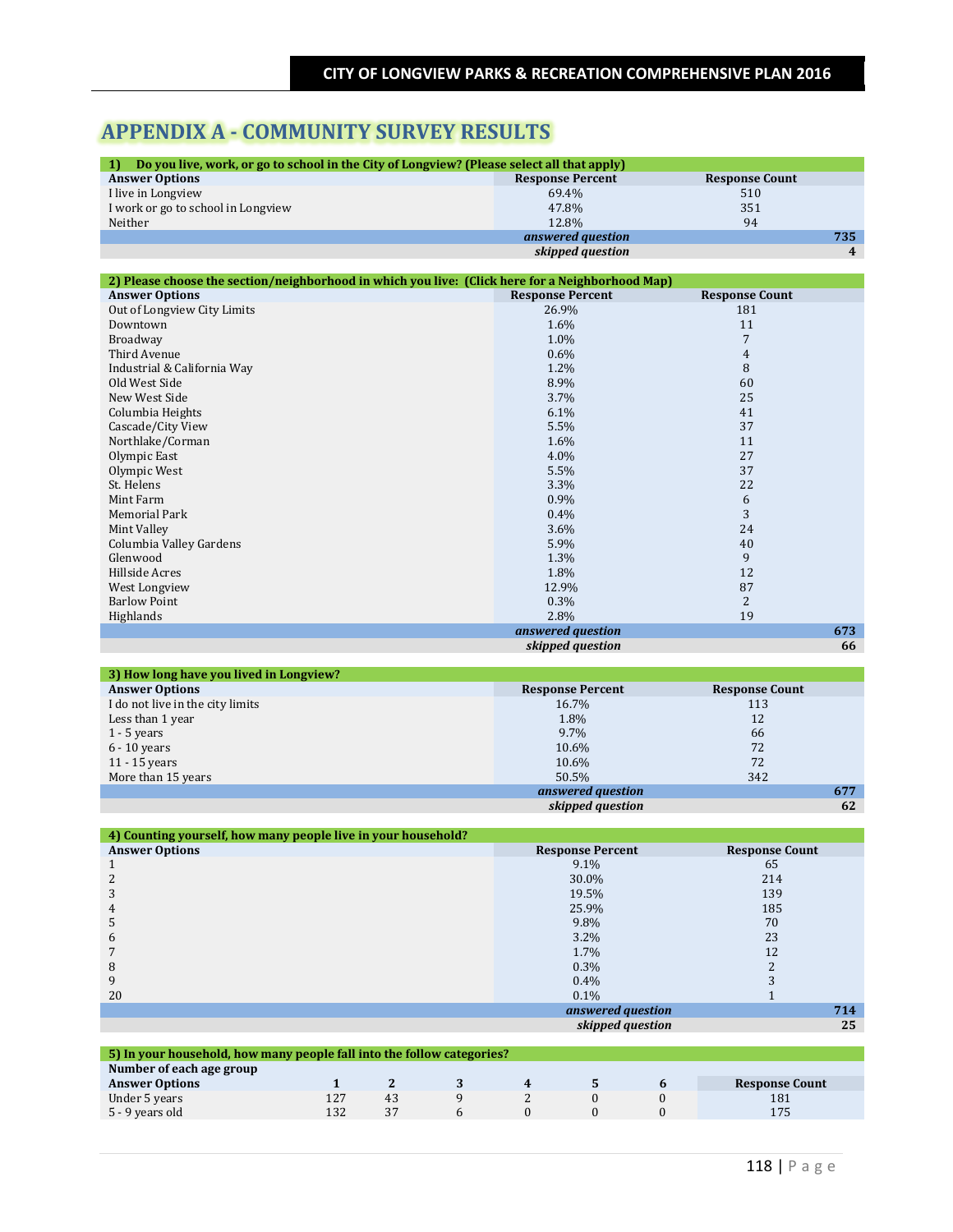# **APPENDIX A - COMMUNITY SURVEY RESULTS**

| Do you live, work, or go to school in the City of Longview? (Please select all that apply)<br>1) |                         |                       |     |  |  |  |  |
|--------------------------------------------------------------------------------------------------|-------------------------|-----------------------|-----|--|--|--|--|
| <b>Answer Options</b>                                                                            | <b>Response Percent</b> | <b>Response Count</b> |     |  |  |  |  |
| I live in Longview                                                                               | 69.4%                   | 510                   |     |  |  |  |  |
| I work or go to school in Longview                                                               | 47.8%                   | 351                   |     |  |  |  |  |
| Neither                                                                                          | 12.8%                   | 94                    |     |  |  |  |  |
|                                                                                                  | answered question       |                       | 735 |  |  |  |  |
| skipped question                                                                                 |                         |                       |     |  |  |  |  |
|                                                                                                  |                         |                       |     |  |  |  |  |

| 2) Please choose the section/neighborhood in which you live: (Click here for a Neighborhood Map) |                         |                       |  |  |  |  |
|--------------------------------------------------------------------------------------------------|-------------------------|-----------------------|--|--|--|--|
| <b>Answer Options</b>                                                                            | <b>Response Percent</b> | <b>Response Count</b> |  |  |  |  |
| Out of Longview City Limits                                                                      | 26.9%                   | 181                   |  |  |  |  |
| Downtown                                                                                         | 1.6%                    | 11                    |  |  |  |  |
| Broadway                                                                                         | 1.0%                    | $\overline{7}$        |  |  |  |  |
| Third Avenue                                                                                     | $0.6\%$                 | 4                     |  |  |  |  |
| Industrial & California Way                                                                      | $1.2\%$                 | 8                     |  |  |  |  |
| Old West Side                                                                                    | 8.9%                    | 60                    |  |  |  |  |
| New West Side                                                                                    | $3.7\%$                 | 25                    |  |  |  |  |
| Columbia Heights                                                                                 | 6.1%                    | 41                    |  |  |  |  |
| Cascade/City View                                                                                | 5.5%                    | 37                    |  |  |  |  |
| Northlake/Corman                                                                                 | 1.6%                    | 11                    |  |  |  |  |
| Olympic East                                                                                     | 4.0%                    | 27                    |  |  |  |  |
| Olympic West                                                                                     | 5.5%                    | 37                    |  |  |  |  |
| St. Helens                                                                                       | 3.3%                    | 22                    |  |  |  |  |
| Mint Farm                                                                                        | $0.9\%$                 | 6                     |  |  |  |  |
| Memorial Park                                                                                    | $0.4\%$                 | 3                     |  |  |  |  |
| Mint Valley                                                                                      | $3.6\%$                 | 24                    |  |  |  |  |
| Columbia Valley Gardens                                                                          | 5.9%                    | 40                    |  |  |  |  |
| Glenwood                                                                                         | 1.3%                    | 9                     |  |  |  |  |
| Hillside Acres                                                                                   | 1.8%                    | 12                    |  |  |  |  |
| West Longview                                                                                    | 12.9%                   | 87                    |  |  |  |  |
| <b>Barlow Point</b>                                                                              | $0.3\%$                 | 2                     |  |  |  |  |
| Highlands                                                                                        | 2.8%                    | 19                    |  |  |  |  |
|                                                                                                  | answered question       | 673                   |  |  |  |  |
|                                                                                                  | skipped question        | 66                    |  |  |  |  |

| 3) How long have you lived in Longview? |                         |                       |
|-----------------------------------------|-------------------------|-----------------------|
| <b>Answer Options</b>                   | <b>Response Percent</b> | <b>Response Count</b> |
| I do not live in the city limits        | 16.7%                   | 113                   |
| Less than 1 year                        | 1.8%                    | 12                    |
| $1 - 5$ years                           | 9.7%                    | 66                    |
| $6 - 10$ years                          | 10.6%                   | 72                    |
| $11 - 15$ years                         | 10.6%                   | 72                    |
| More than 15 years                      | 50.5%                   | 342                   |
|                                         | answered question       | 677                   |
|                                         | skipped question        | 62                    |

| 4) Counting yourself, how many people live in your household? |                         |                       |  |  |  |  |
|---------------------------------------------------------------|-------------------------|-----------------------|--|--|--|--|
| <b>Answer Options</b>                                         | <b>Response Percent</b> | <b>Response Count</b> |  |  |  |  |
|                                                               | $9.1\%$                 | 65                    |  |  |  |  |
|                                                               | 30.0%                   | 214                   |  |  |  |  |
| 3                                                             | 19.5%                   | 139                   |  |  |  |  |
| 4                                                             | 25.9%                   | 185                   |  |  |  |  |
| 5                                                             | 9.8%                    | 70                    |  |  |  |  |
| 6                                                             | $3.2\%$                 | 23                    |  |  |  |  |
|                                                               | 1.7%                    | 12                    |  |  |  |  |
| 8                                                             | $0.3\%$                 |                       |  |  |  |  |
| 9                                                             | 0.4%                    |                       |  |  |  |  |
| 20                                                            | $0.1\%$                 |                       |  |  |  |  |
|                                                               | answered question       | 714                   |  |  |  |  |
|                                                               | skipped question        | 25                    |  |  |  |  |
|                                                               |                         |                       |  |  |  |  |

| 5) In your household, how many people fall into the follow categories? |     |    |  |  |  |  |                       |
|------------------------------------------------------------------------|-----|----|--|--|--|--|-----------------------|
| Number of each age group                                               |     |    |  |  |  |  |                       |
| <b>Answer Options</b>                                                  |     |    |  |  |  |  | <b>Response Count</b> |
| Under 5 years                                                          |     | 43 |  |  |  |  | 181                   |
| 5 - 9 years old                                                        | 132 | 37 |  |  |  |  | 175                   |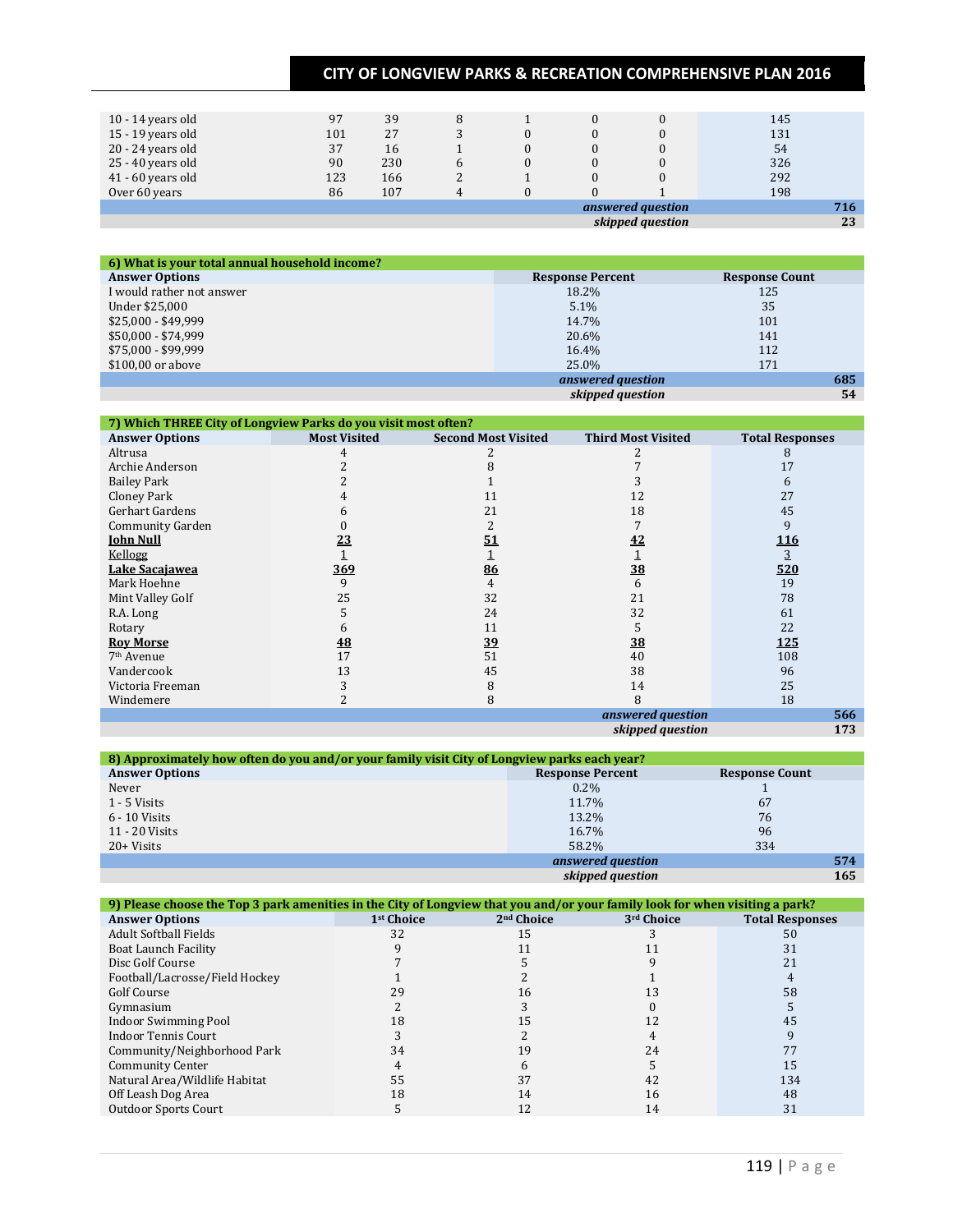| 10 - 14 years old | 97  | 39  | 8 |  |                   | 145 |
|-------------------|-----|-----|---|--|-------------------|-----|
| 15 - 19 years old | 101 | 27  |   |  |                   | 131 |
| 20 - 24 years old | 37  | 16  |   |  |                   | 54  |
| 25 - 40 years old | 90  | 230 | h |  |                   | 326 |
| 41 - 60 years old | 123 | 166 |   |  |                   | 292 |
| Over 60 years     | 86  | 107 |   |  |                   | 198 |
|                   |     |     |   |  | answered question | 716 |
|                   |     |     |   |  | skipped question  | 23  |

| 6) What is your total annual household income? |                         |                       |
|------------------------------------------------|-------------------------|-----------------------|
| <b>Answer Options</b>                          | <b>Response Percent</b> | <b>Response Count</b> |
| I would rather not answer                      | 18.2%                   | 125                   |
| Under \$25,000                                 | $5.1\%$                 | 35                    |
| $$25,000 - $49,999$                            | 14.7%                   | 101                   |
| \$50,000 - \$74,999                            | 20.6%                   | 141                   |
| \$75,000 - \$99,999                            | $16.4\%$                | 112                   |
| \$100,00 or above                              | 25.0%                   | 171                   |
|                                                | answered question       | 685                   |
|                                                | skipped question        | 54                    |

| 7) Which THREE City of Longview Parks do you visit most often? |                     |                            |                           |                        |  |  |
|----------------------------------------------------------------|---------------------|----------------------------|---------------------------|------------------------|--|--|
| <b>Answer Options</b>                                          | <b>Most Visited</b> | <b>Second Most Visited</b> | <b>Third Most Visited</b> | <b>Total Responses</b> |  |  |
| Altrusa                                                        |                     |                            |                           | 8                      |  |  |
| Archie Anderson                                                |                     |                            |                           | 17                     |  |  |
| <b>Bailey Park</b>                                             |                     |                            |                           | 6                      |  |  |
| Cloney Park                                                    |                     | 11                         | 12                        | 27                     |  |  |
| Gerhart Gardens                                                |                     | 21                         | 18                        | 45                     |  |  |
| <b>Community Garden</b>                                        |                     |                            |                           | 9                      |  |  |
| <b>John Null</b>                                               | 23                  | 51                         | 42                        | <u>116</u>             |  |  |
| Kellogg                                                        |                     |                            |                           | 3                      |  |  |
| Lake Sacajawea                                                 | <u>369</u>          | 86                         | 38                        | 520                    |  |  |
| Mark Hoehne                                                    | 9                   | 4                          | 6                         | 19                     |  |  |
| Mint Valley Golf                                               | 25                  | 32                         | 21                        | 78                     |  |  |
| R.A. Long                                                      |                     | 24                         | 32                        | 61                     |  |  |
| Rotary                                                         |                     | 11                         |                           | 22                     |  |  |
| <b>Roy Morse</b>                                               | <b>48</b>           | 39                         | 38                        | <b>125</b>             |  |  |
| 7 <sup>th</sup> Avenue                                         | 17                  | 51                         | 40                        | 108                    |  |  |
| Vandercook                                                     | 13                  | 45                         | 38                        | 96                     |  |  |
| Victoria Freeman                                               |                     | 8                          | 14                        | 25                     |  |  |
| Windemere                                                      |                     | 8                          | 8                         | 18                     |  |  |
|                                                                |                     |                            | answered question         | 566                    |  |  |
|                                                                |                     |                            | skipped question          | 173                    |  |  |

| 8) Approximately how often do you and/or your family visit City of Longview parks each year? |                         |                       |  |  |  |
|----------------------------------------------------------------------------------------------|-------------------------|-----------------------|--|--|--|
| <b>Answer Options</b>                                                                        | <b>Response Percent</b> | <b>Response Count</b> |  |  |  |
| Never                                                                                        | $0.2\%$                 |                       |  |  |  |
| 1 - 5 Visits                                                                                 | 11.7%                   | 67                    |  |  |  |
| $6 - 10$ Visits                                                                              | 13.2%                   | 76                    |  |  |  |
| 11 - 20 Visits                                                                               | 16.7%                   | 96                    |  |  |  |
| $20+Visits$                                                                                  | 58.2%                   | 334                   |  |  |  |
|                                                                                              | answered question       | 574                   |  |  |  |
|                                                                                              | skipped question        | 165                   |  |  |  |

| 9) Please choose the Top 3 park amenities in the City of Longview that you and/or your family look for when visiting a park? |                        |                        |            |                        |  |  |
|------------------------------------------------------------------------------------------------------------------------------|------------------------|------------------------|------------|------------------------|--|--|
| <b>Answer Options</b>                                                                                                        | 1 <sup>st</sup> Choice | 2 <sup>nd</sup> Choice | 3rd Choice | <b>Total Responses</b> |  |  |
| <b>Adult Softball Fields</b>                                                                                                 | 32                     | 15                     |            | 50                     |  |  |
| Boat Launch Facility                                                                                                         |                        |                        |            | 31                     |  |  |
| Disc Golf Course                                                                                                             |                        |                        |            |                        |  |  |
| Football/Lacrosse/Field Hockey                                                                                               |                        |                        |            |                        |  |  |
| <b>Golf Course</b>                                                                                                           | 29                     | 16                     | 13         | 58                     |  |  |
| Gymnasium                                                                                                                    |                        |                        |            |                        |  |  |
| Indoor Swimming Pool                                                                                                         | 18                     |                        |            | 45                     |  |  |
| <b>Indoor Tennis Court</b>                                                                                                   |                        |                        |            |                        |  |  |
| Community/Neighborhood Park                                                                                                  | 34                     |                        | 24         |                        |  |  |
| <b>Community Center</b>                                                                                                      |                        |                        |            | 15                     |  |  |
| Natural Area/Wildlife Habitat                                                                                                | 55                     |                        | 42         | 134                    |  |  |
| Off Leash Dog Area                                                                                                           | 18                     | 14                     | 16         | 48                     |  |  |
| <b>Outdoor Sports Court</b>                                                                                                  |                        | 12                     | 14         | 31                     |  |  |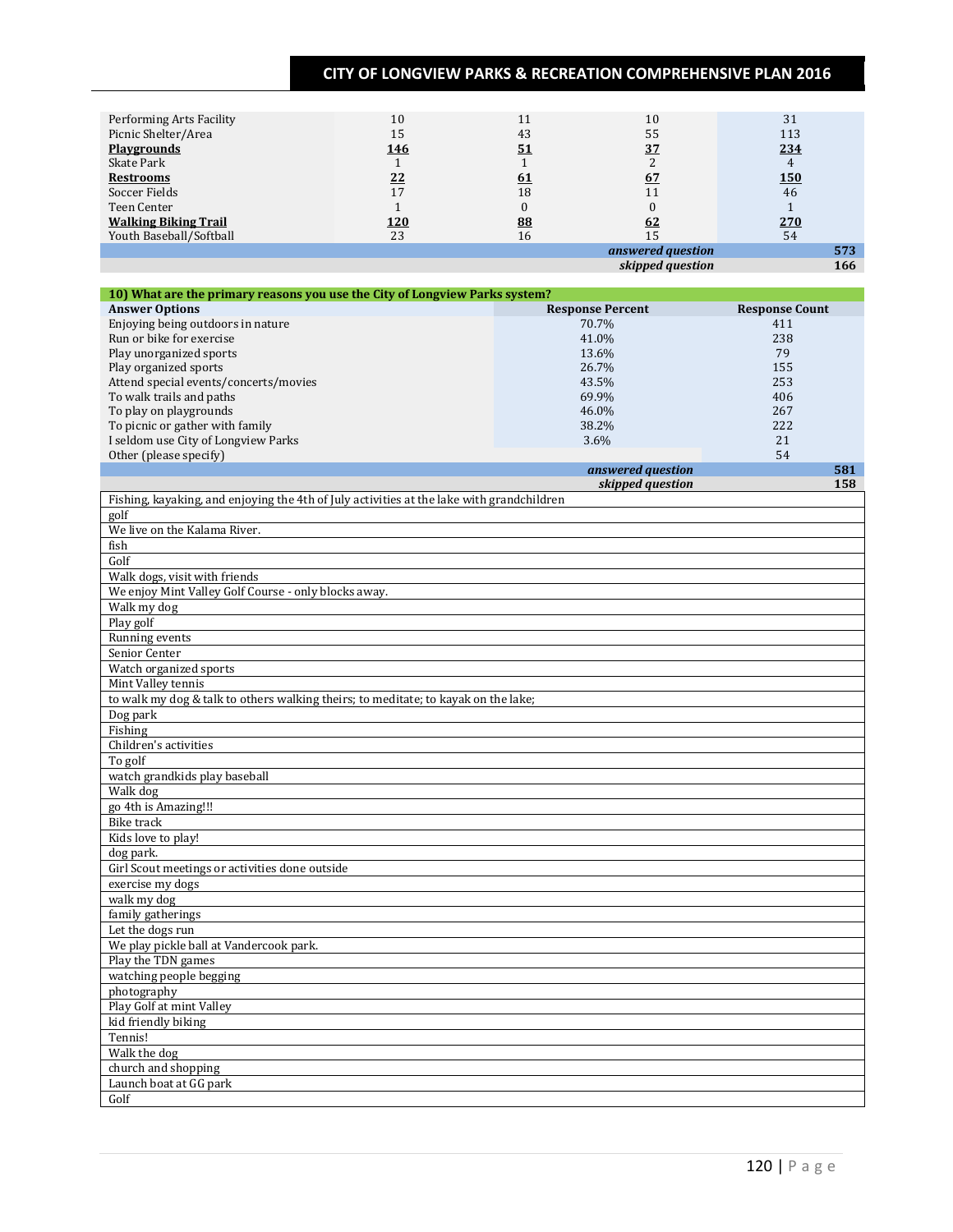| Performing Arts Facility    | 10         | 11        | 10                                                                                                                                                                                                                               | 31                   |
|-----------------------------|------------|-----------|----------------------------------------------------------------------------------------------------------------------------------------------------------------------------------------------------------------------------------|----------------------|
| Picnic Shelter/Area         | 15         | 43        | 55                                                                                                                                                                                                                               | 113                  |
| <b>Playgrounds</b>          | <u>146</u> | <u>51</u> | 37                                                                                                                                                                                                                               | 234                  |
| Skate Park                  |            |           |                                                                                                                                                                                                                                  |                      |
| <b>Restrooms</b>            | 22         | <u>61</u> | 67                                                                                                                                                                                                                               | <u> 150</u>          |
| Soccer Fields               | 17         | 18        | 11                                                                                                                                                                                                                               | 46                   |
| Teen Center                 |            |           |                                                                                                                                                                                                                                  |                      |
| <b>Walking Biking Trail</b> | <u>120</u> | 88        | <u>62</u>                                                                                                                                                                                                                        | 270                  |
| Youth Baseball/Softball     | 23         | 16        | 15                                                                                                                                                                                                                               | 54                   |
|                             |            |           | answered question                                                                                                                                                                                                                | 573                  |
|                             |            |           | $\cdots$ . The contract of the contract of the contract of the contract of the contract of the contract of the contract of the contract of the contract of the contract of the contract of the contract of the contract of the c | $\sim$ $\sim$ $\sim$ |

*skipped question* **166**

| 10) What are the primary reasons you use the City of Longview Parks system? |                         |                       |  |  |  |
|-----------------------------------------------------------------------------|-------------------------|-----------------------|--|--|--|
| <b>Answer Options</b>                                                       | <b>Response Percent</b> | <b>Response Count</b> |  |  |  |
| Enjoying being outdoors in nature                                           | 70.7%                   | 411                   |  |  |  |
| Run or bike for exercise                                                    | 41.0%                   | 238                   |  |  |  |
| Play unorganized sports                                                     | 13.6%                   | 79                    |  |  |  |
| Play organized sports                                                       | 26.7%                   | 155                   |  |  |  |
| Attend special events/concerts/movies                                       | 43.5%                   | 253                   |  |  |  |
| To walk trails and paths                                                    | 69.9%                   | 406                   |  |  |  |
| To play on playgrounds                                                      | 46.0%                   | 267                   |  |  |  |
| To picnic or gather with family                                             | 38.2%                   | 222                   |  |  |  |
| I seldom use City of Longview Parks                                         | $3.6\%$                 | 21                    |  |  |  |
| Other (please specify)                                                      |                         | 54                    |  |  |  |
|                                                                             | answered question       | 581                   |  |  |  |
|                                                                             | skipped question        | 158                   |  |  |  |

| Fishing, kayaking, and enjoying the 4th of July activities at the lake with grandchildren |
|-------------------------------------------------------------------------------------------|
| $g$ olf                                                                                   |
| We live on the Kalama River.                                                              |
| fish                                                                                      |
| Golf                                                                                      |
| Walk dogs, visit with friends                                                             |
| We enjoy Mint Valley Golf Course - only blocks away.                                      |
| Walk my dog                                                                               |
| Play golf                                                                                 |
| Running events                                                                            |
| Senior Center                                                                             |
| Watch organized sports                                                                    |
| Mint Valley tennis                                                                        |
| to walk my dog & talk to others walking theirs; to meditate; to kayak on the lake;        |
| Dog park                                                                                  |
| Fishing                                                                                   |
| Children's activities                                                                     |
| To golf                                                                                   |
| watch grandkids play baseball                                                             |
| Walk dog                                                                                  |
| go 4th is Amazing!!!                                                                      |
| <b>Bike</b> track                                                                         |
| Kids love to play!                                                                        |
| dog park.                                                                                 |
| Girl Scout meetings or activities done outside                                            |
| exercise my dogs                                                                          |
| walk my dog                                                                               |
| family gatherings                                                                         |
| Let the dogs run                                                                          |
| We play pickle ball at Vandercook park.                                                   |
| Play the TDN games                                                                        |
| watching people begging                                                                   |
| photography                                                                               |
| Play Golf at mint Valley                                                                  |
| kid friendly biking                                                                       |
| Tennis!                                                                                   |
| Walk the dog                                                                              |
| church and shopping                                                                       |
| Launch boat at GG park                                                                    |
| Golf                                                                                      |
|                                                                                           |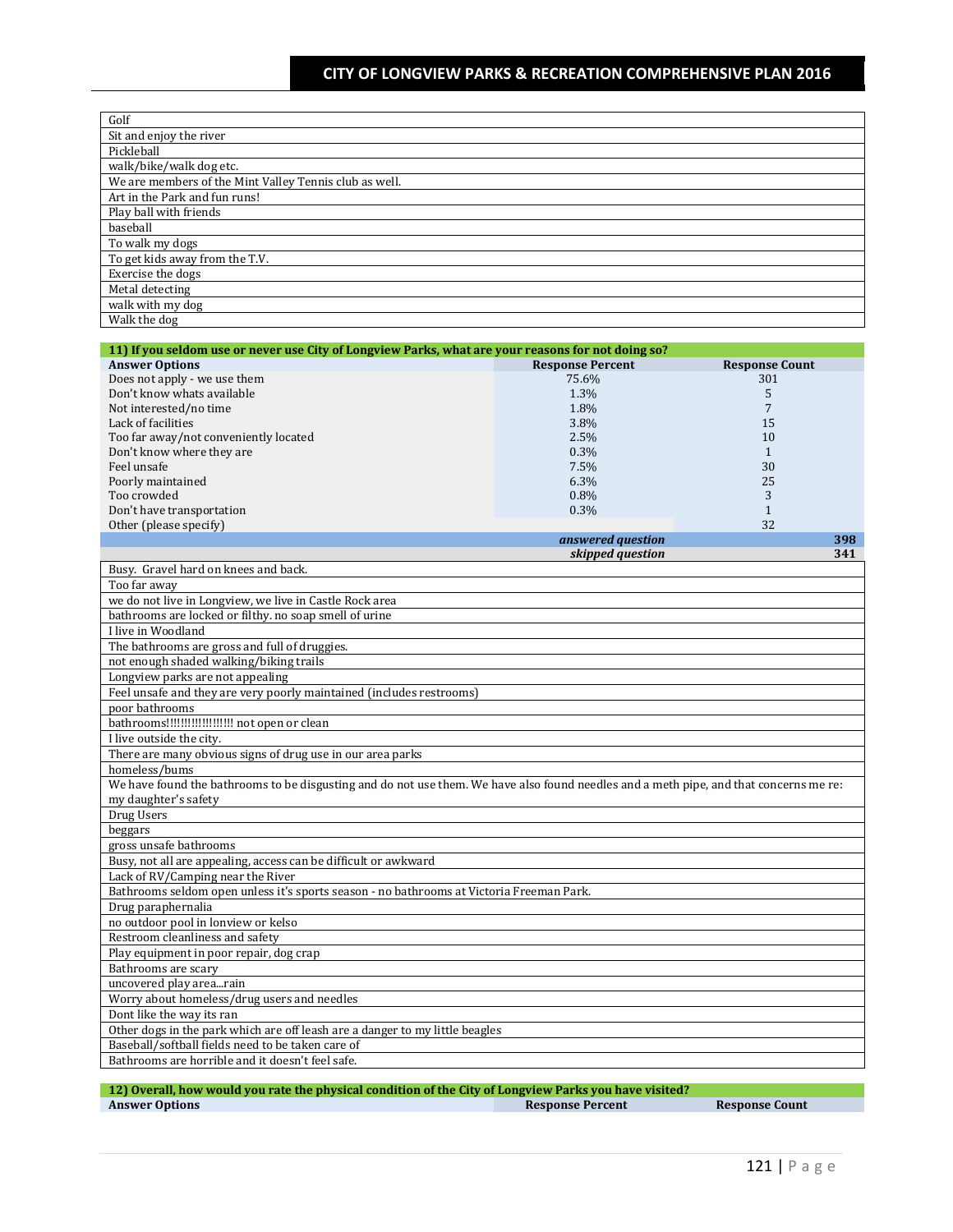| Golf                                                   |
|--------------------------------------------------------|
| Sit and enjoy the river                                |
| Pickleball                                             |
| walk/bike/walk dog etc.                                |
| We are members of the Mint Valley Tennis club as well. |
| Art in the Park and fun runs!                          |
| Play ball with friends                                 |
| baseball                                               |
| To walk my dogs                                        |
| To get kids away from the T.V.                         |
| Exercise the dogs                                      |
| Metal detecting                                        |
| walk with my dog                                       |
| Walk the dog                                           |

| 11) If you seldom use or never use City of Longview Parks, what are your reasons for not doing so? |                         |                       |     |
|----------------------------------------------------------------------------------------------------|-------------------------|-----------------------|-----|
| <b>Answer Options</b>                                                                              | <b>Response Percent</b> | <b>Response Count</b> |     |
| Does not apply - we use them                                                                       | 75.6%                   | 301                   |     |
| Don't know whats available                                                                         | 1.3%                    |                       |     |
| Not interested/no time                                                                             | 1.8%                    |                       |     |
| Lack of facilities                                                                                 | 3.8%                    | 15                    |     |
| Too far away/not conveniently located                                                              | 2.5%                    | 10                    |     |
| Don't know where they are                                                                          | 0.3%                    |                       |     |
| Feel unsafe                                                                                        | 7.5%                    | 30                    |     |
| Poorly maintained                                                                                  | 6.3%                    | 25                    |     |
| Too crowded                                                                                        | $0.8\%$                 | 3                     |     |
| Don't have transportation                                                                          | 0.3%                    |                       |     |
| Other (please specify)                                                                             |                         | 32                    |     |
|                                                                                                    | answered question       |                       | 398 |
|                                                                                                    | skipped question        |                       | 341 |
| Busy. Gravel hard on knees and back.                                                               |                         |                       |     |
| Too far away                                                                                       |                         |                       |     |
| we do not live in Longview, we live in Castle Rock area                                            |                         |                       |     |

| TUU IAI AWAY                                                                                                                           |
|----------------------------------------------------------------------------------------------------------------------------------------|
| we do not live in Longview, we live in Castle Rock area                                                                                |
| bathrooms are locked or filthy, no soap smell of urine                                                                                 |
| I live in Woodland                                                                                                                     |
| The bathrooms are gross and full of druggies.                                                                                          |
| not enough shaded walking/biking trails                                                                                                |
| Longview parks are not appealing                                                                                                       |
| Feel unsafe and they are very poorly maintained (includes restrooms)                                                                   |
| poor bathrooms                                                                                                                         |
| bathrooms!!!!!!!!!!!!!!!!!!!!! not open or clean                                                                                       |
| I live outside the city.                                                                                                               |
| There are many obvious signs of drug use in our area parks                                                                             |
| homeless/bums                                                                                                                          |
| We have found the bathrooms to be disgusting and do not use them. We have also found needles and a meth pipe, and that concerns me re: |
| my daughter's safety                                                                                                                   |
| Drug Users                                                                                                                             |
| beggars                                                                                                                                |
| gross unsafe bathrooms                                                                                                                 |
| Busy, not all are appealing, access can be difficult or awkward                                                                        |
| Lack of RV/Camping near the River                                                                                                      |
| Bathrooms seldom open unless it's sports season - no bathrooms at Victoria Freeman Park.                                               |
| Drug paraphernalia                                                                                                                     |
| no outdoor pool in lonview or kelso                                                                                                    |
| Restroom cleanliness and safety                                                                                                        |
| Play equipment in poor repair, dog crap                                                                                                |
| Bathrooms are scary                                                                                                                    |
| uncovered play arearain                                                                                                                |
| Worry about homeless/drug users and needles                                                                                            |
| Dont like the way its ran                                                                                                              |
| Other dogs in the park which are off leash are a danger to my little beagles                                                           |
| Baseball/softball fields need to be taken care of                                                                                      |
| Bathrooms are horrible and it doesn't feel safe.                                                                                       |
|                                                                                                                                        |

| 12) Overall, how would you rate the physical condition of the City of Longview Parks you have visited? |                         |
|--------------------------------------------------------------------------------------------------------|-------------------------|
| <b>Answer Options</b>                                                                                  | <b>Response Percent</b> |

I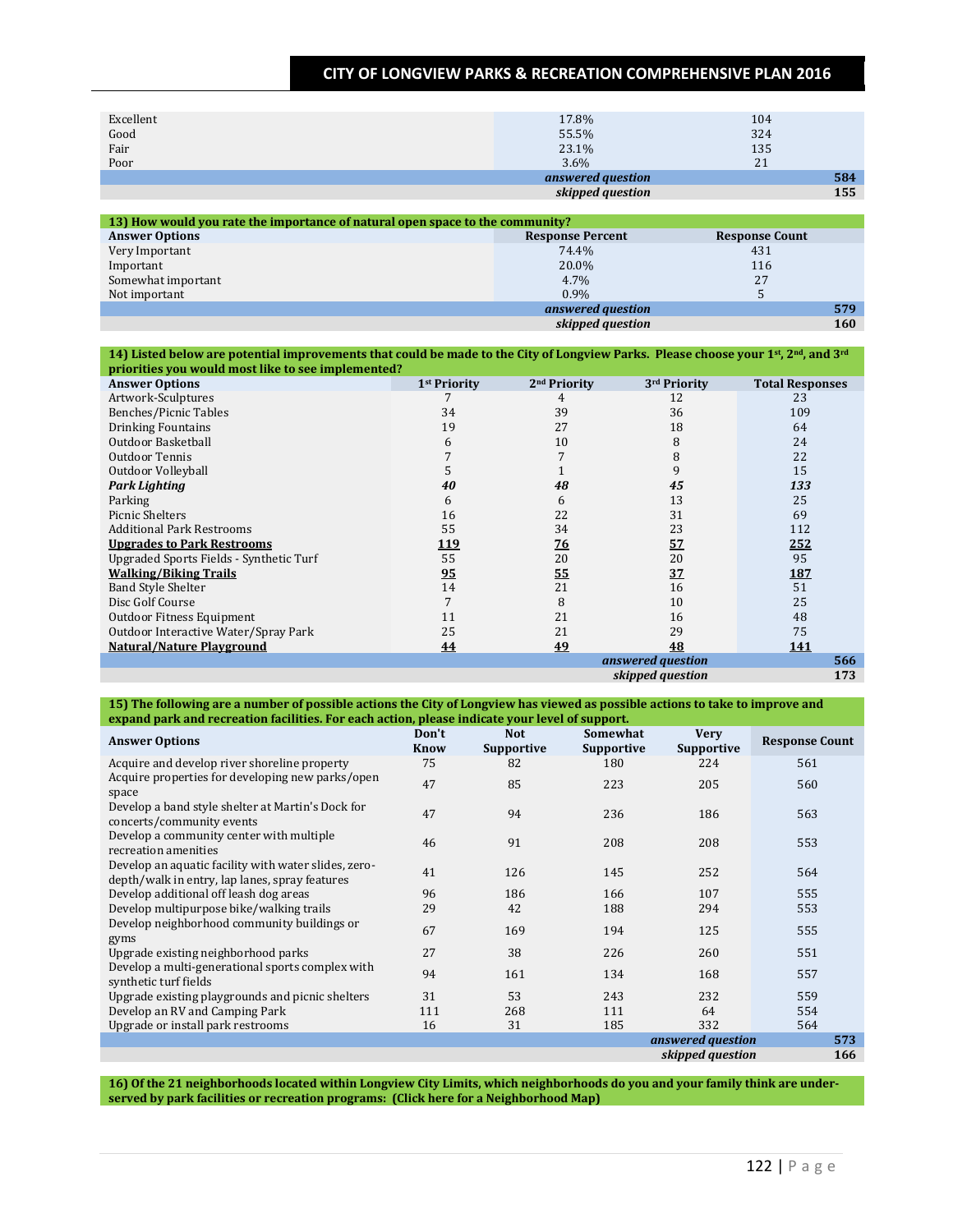| Excellent                                                                     | 17.8%                   | 104                   |     |
|-------------------------------------------------------------------------------|-------------------------|-----------------------|-----|
| Good                                                                          | 55.5%                   | 324                   |     |
| Fair                                                                          | 23.1%                   | 135                   |     |
| Poor                                                                          | 3.6%                    | 21                    |     |
|                                                                               | answered question       |                       | 584 |
|                                                                               | skipped question        |                       | 155 |
|                                                                               |                         |                       |     |
| 13) How would you rate the importance of natural open space to the community? |                         |                       |     |
| <b>Answer Options</b>                                                         | <b>Response Percent</b> | <b>Response Count</b> |     |
| Very Important                                                                | 74.4%                   | 431                   |     |

|                    | skipped question  | 160                  |
|--------------------|-------------------|----------------------|
|                    | answered question | 579                  |
| Not important      | 0.9%              |                      |
| Somewhat important | 4.7%              | つつ<br>$\overline{a}$ |
| Important          | 20.0%             | 116                  |
| Very Important     | $74.4\%$          | 431                  |

#### **14) Listed below are potential improvements that could be made to the City of Longview Parks. Please choose your 1st, 2nd, and 3rd priorities you would most like to see implemented?**

| <b>Answer Options</b>                   | 1 <sup>st</sup> Priority | 2 <sup>nd</sup> Priority | 3rd Priority      | <b>Total Responses</b> |
|-----------------------------------------|--------------------------|--------------------------|-------------------|------------------------|
| Artwork-Sculptures                      |                          |                          | 12                | 23                     |
| <b>Benches/Picnic Tables</b>            | 34                       | 39                       | 36                | 109                    |
| <b>Drinking Fountains</b>               | 19                       | 27                       | 18                | 64                     |
| Outdoor Basketball                      | 6                        | 10                       | 8                 | 24                     |
| Outdoor Tennis                          |                          |                          | 8                 | 22                     |
| Outdoor Volleyball                      |                          |                          | 9                 | 15                     |
| <b>Park Lighting</b>                    | 40                       | 48                       | 45                | 133                    |
| Parking                                 | 6                        | 6                        | 13                | 25                     |
| <b>Picnic Shelters</b>                  | 16                       | 22                       | 31                | 69                     |
| <b>Additional Park Restrooms</b>        | 55                       | 34                       | 23                | 112                    |
| <b>Upgrades to Park Restrooms</b>       | <u> 119</u>              | <u>76</u>                | 57                | 252                    |
| Upgraded Sports Fields - Synthetic Turf | 55                       | 20                       | 20                | 95                     |
| <b>Walking/Biking Trails</b>            | 95                       | <u>55</u>                | 37                | <u>187</u>             |
| <b>Band Style Shelter</b>               | 14                       | 21                       | 16                | 51                     |
| Disc Golf Course                        |                          | 8                        | 10                | 25                     |
| Outdoor Fitness Equipment               | 11                       | 21                       | 16                | 48                     |
| Outdoor Interactive Water/Spray Park    | 25                       | 21                       | 29                | 75                     |
| <b>Natural/Nature Playground</b>        | 44                       | 49                       | 48                | <u>141</u>             |
|                                         |                          |                          | answered question | 566                    |
|                                         |                          |                          | skipped question  | 173                    |

**15) The following are a number of possible actions the City of Longview has viewed as possible actions to take to improve and expand park and recreation facilities. For each action, please indicate your level of support.**

| <b>Answer Options</b>                                                                                  | Don't<br><b>Know</b> | <b>Not</b><br><b>Supportive</b> | Somewhat<br><b>Supportive</b> | <b>Very</b><br><b>Supportive</b> | <b>Response Count</b> |
|--------------------------------------------------------------------------------------------------------|----------------------|---------------------------------|-------------------------------|----------------------------------|-----------------------|
| Acquire and develop river shoreline property                                                           | 75                   | 82                              | 180                           | 224                              | 561                   |
| Acquire properties for developing new parks/open<br>space                                              | 47                   | 85                              | 223                           | 205                              | 560                   |
| Develop a band style shelter at Martin's Dock for<br>concerts/community events                         | 47                   | 94                              | 236                           | 186                              | 563                   |
| Develop a community center with multiple<br>recreation amenities                                       | 46                   | 91                              | 208                           | 208                              | 553                   |
| Develop an aquatic facility with water slides, zero-<br>depth/walk in entry, lap lanes, spray features | 41                   | 126                             | 145                           | 252                              | 564                   |
| Develop additional off leash dog areas                                                                 | 96                   | 186                             | 166                           | 107                              | 555                   |
| Develop multipurpose bike/walking trails                                                               | 29                   | 42                              | 188                           | 294                              | 553                   |
| Develop neighborhood community buildings or<br>gyms                                                    | 67                   | 169                             | 194                           | 125                              | 555                   |
| Upgrade existing neighborhood parks                                                                    | 27                   | 38                              | 226                           | 260                              | 551                   |
| Develop a multi-generational sports complex with<br>synthetic turf fields                              | 94                   | 161                             | 134                           | 168                              | 557                   |
| Upgrade existing playgrounds and picnic shelters                                                       | 31                   | 53                              | 243                           | 232                              | 559                   |
| Develop an RV and Camping Park                                                                         | 111                  | 268                             | 111                           | 64                               | 554                   |
| Upgrade or install park restrooms                                                                      | 16                   | 31                              | 185                           | 332                              | 564                   |
|                                                                                                        |                      |                                 |                               | answered question                | 573                   |
|                                                                                                        |                      |                                 |                               | skipped question                 | 166                   |

**16) Of the 21 neighborhoods located within Longview City Limits, which neighborhoods do you and your family think are underserved by park facilities or recreation programs: (Click here for a Neighborhood Map)**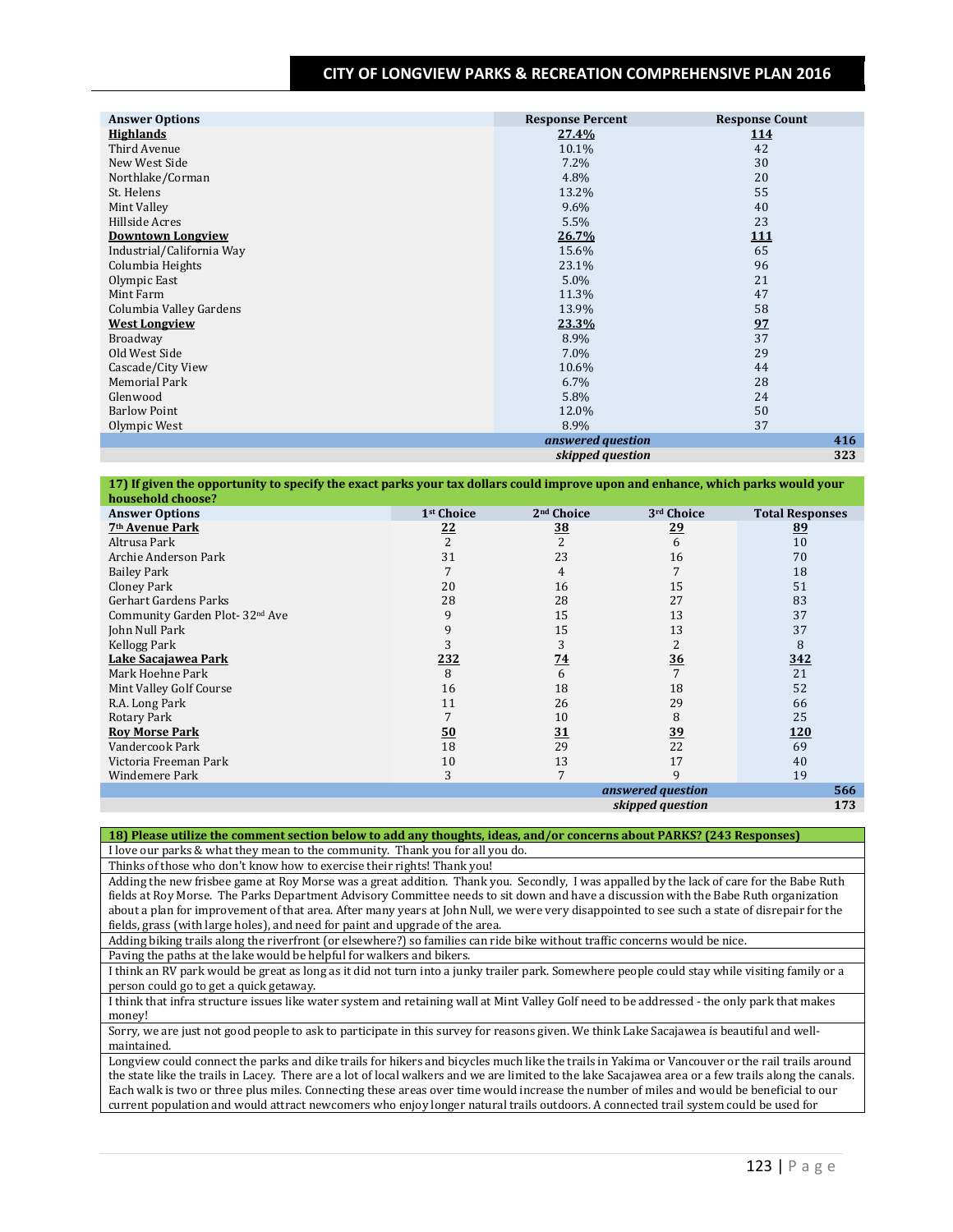| <b>Answer Options</b>     | <b>Response Percent</b> | <b>Response Count</b> |
|---------------------------|-------------------------|-----------------------|
| <b>Highlands</b>          | 27.4%                   | <u>114</u>            |
| Third Avenue              | 10.1%                   | 42                    |
| New West Side             | 7.2%                    | 30                    |
| Northlake/Corman          | 4.8%                    | 20                    |
| St. Helens                | 13.2%                   | 55                    |
| Mint Valley               | 9.6%                    | 40                    |
| Hillside Acres            | 5.5%                    | 23                    |
| <b>Downtown Longview</b>  | 26.7%                   | <u>111</u>            |
| Industrial/California Way | 15.6%                   | 65                    |
| Columbia Heights          | 23.1%                   | 96                    |
| Olympic East              | 5.0%                    | 21                    |
| Mint Farm                 | 11.3%                   | 47                    |
| Columbia Valley Gardens   | 13.9%                   | 58                    |
| <b>West Longview</b>      | 23.3%                   | 97                    |
| Broadway                  | 8.9%                    | 37                    |
| Old West Side             | 7.0%                    | 29                    |
| Cascade/City View         | 10.6%                   | 44                    |
| Memorial Park             | 6.7%                    | 28                    |
| Glenwood                  | 5.8%                    | 24                    |
| <b>Barlow Point</b>       | 12.0%                   | 50                    |
| Olympic West              | 8.9%                    | 37                    |
|                           | answered question       | 416                   |
|                           | skipped question        | 323                   |

| 17) If given the opportunity to specify the exact parks your tax dollars could improve upon and enhance, which parks would your |                        |                        |                   |                        |
|---------------------------------------------------------------------------------------------------------------------------------|------------------------|------------------------|-------------------|------------------------|
| household choose?                                                                                                               |                        |                        |                   |                        |
| <b>Answer Options</b>                                                                                                           | 1 <sup>st</sup> Choice | 2 <sup>nd</sup> Choice | 3rd Choice        | <b>Total Responses</b> |
| 7 <sup>th</sup> Avenue Park                                                                                                     | <u>22</u>              | <u>38</u>              | <u>29</u>         | 89                     |
| Altrusa Park                                                                                                                    | 2                      | $\overline{c}$         | 6                 | 10                     |
| Archie Anderson Park                                                                                                            | 31                     | 23                     | 16                | 70                     |
| <b>Bailey Park</b>                                                                                                              |                        | 4                      | 7                 | 18                     |
| Cloney Park                                                                                                                     | 20                     | 16                     | 15                | 51                     |
| Gerhart Gardens Parks                                                                                                           | 28                     | 28                     | 27                | 83                     |
| Community Garden Plot-32 <sup>nd</sup> Ave                                                                                      | 9                      | 15                     | 13                | 37                     |
| John Null Park                                                                                                                  | 9                      | 15                     | 13                | 37                     |
| Kellogg Park                                                                                                                    | 3                      | 3                      | 2                 | 8                      |
| Lake Sacaiawea Park                                                                                                             | 232                    | 74                     | 36                | 342                    |
| Mark Hoehne Park                                                                                                                | 8                      | 6                      | 7                 | 21                     |
| Mint Valley Golf Course                                                                                                         | 16                     | 18                     | 18                | 52                     |
| R.A. Long Park                                                                                                                  | 11                     | 26                     | 29                | 66                     |
| Rotary Park                                                                                                                     |                        | 10                     | 8                 | 25                     |
| <b>Rov Morse Park</b>                                                                                                           | 50                     | 31                     | 39                | 120                    |
| Vandercook Park                                                                                                                 | 18                     | 29                     | 22                | 69                     |
| Victoria Freeman Park                                                                                                           | 10                     | 13                     | 17                | 40                     |
| Windemere Park                                                                                                                  | 3                      |                        | 9                 | 19                     |
|                                                                                                                                 |                        |                        | answered question | 566                    |
|                                                                                                                                 |                        |                        | skipped question  | 173                    |

**18) Please utilize the comment section below to add any thoughts, ideas, and/or concerns about PARKS? (243 Responses)** I love our parks & what they mean to the community. Thank you for all you do.

Thinks of those who don't know how to exercise their rights! Thank you!

Adding the new frisbee game at Roy Morse was a great addition. Thank you. Secondly, I was appalled by the lack of care for the Babe Ruth fields at Roy Morse. The Parks Department Advisory Committee needs to sit down and have a discussion with the Babe Ruth organization about a plan for improvement of that area. After many years at John Null, we were very disappointed to see such a state of disrepair for the fields, grass (with large holes), and need for paint and upgrade of the area.

Adding biking trails along the riverfront (or elsewhere?) so families can ride bike without traffic concerns would be nice.

Paving the paths at the lake would be helpful for walkers and bikers.

I think an RV park would be great as long as it did not turn into a junky trailer park. Somewhere people could stay while visiting family or a person could go to get a quick getaway.

I think that infra structure issues like water system and retaining wall at Mint Valley Golf need to be addressed - the only park that makes money!

Sorry, we are just not good people to ask to participate in this survey for reasons given. We think Lake Sacajawea is beautiful and wellmaintained.

Longview could connect the parks and dike trails for hikers and bicycles much like the trails in Yakima or Vancouver or the rail trails around the state like the trails in Lacey. There are a lot of local walkers and we are limited to the lake Sacajawea area or a few trails along the canals. Each walk is two or three plus miles. Connecting these areas over time would increase the number of miles and would be beneficial to our current population and would attract newcomers who enjoy longer natural trails outdoors. A connected trail system could be used for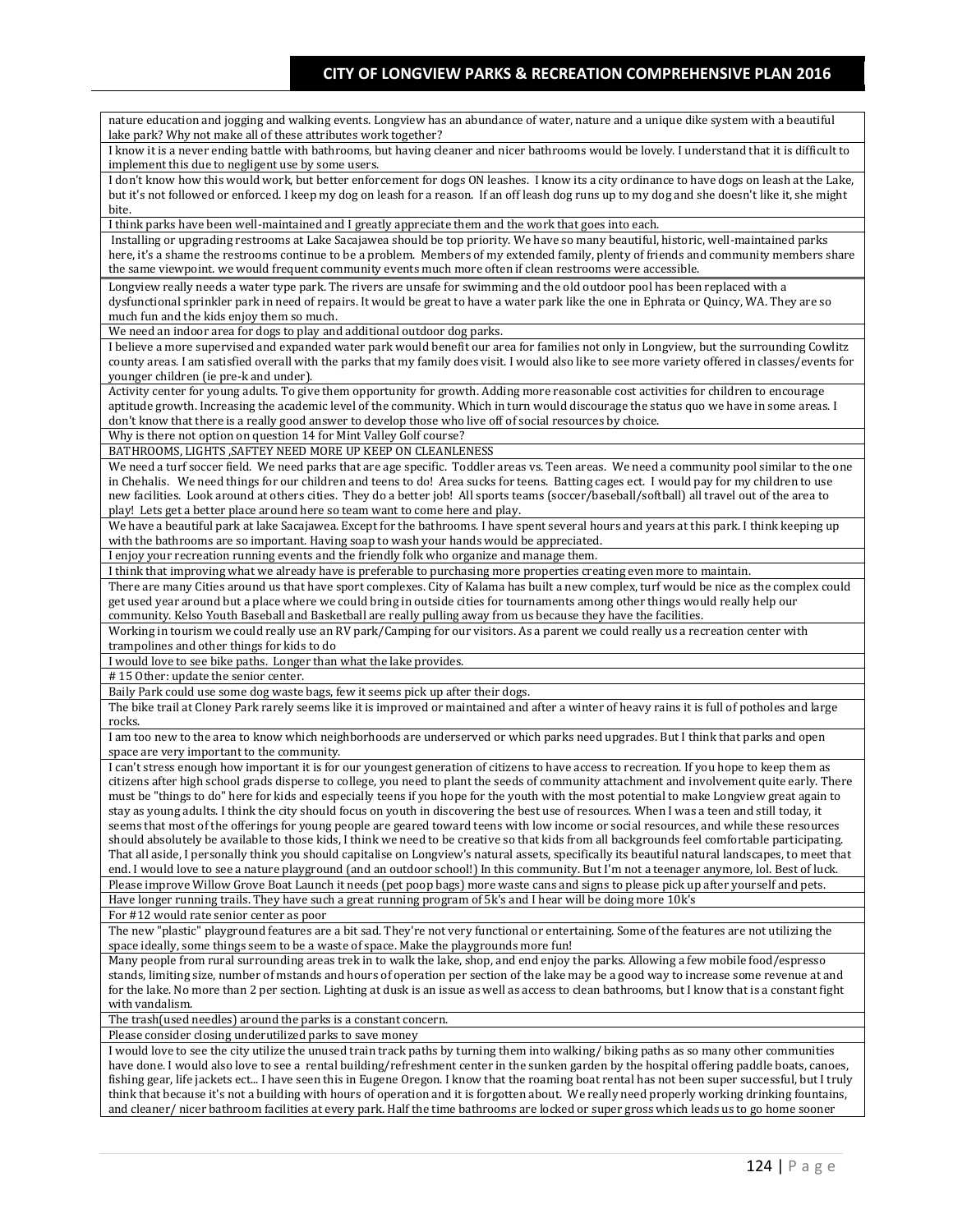nature education and jogging and walking events. Longview has an abundance of water, nature and a unique dike system with a beautiful lake park? Why not make all of these attributes work together? I know it is a never ending battle with bathrooms, but having cleaner and nicer bathrooms would be lovely. I understand that it is difficult to implement this due to negligent use by some users. I don't know how this would work, but better enforcement for dogs ON leashes. I know its a city ordinance to have dogs on leash at the Lake, but it's not followed or enforced. I keep my dog on leash for a reason. If an off leash dog runs up to my dog and she doesn't like it, she might bite. I think parks have been well-maintained and I greatly appreciate them and the work that goes into each. Installing or upgrading restrooms at Lake Sacajawea should be top priority. We have so many beautiful, historic, well-maintained parks here, it's a shame the restrooms continue to be a problem. Members of my extended family, plenty of friends and community members share the same viewpoint. we would frequent community events much more often if clean restrooms were accessible. Longview really needs a water type park. The rivers are unsafe for swimming and the old outdoor pool has been replaced with a dysfunctional sprinkler park in need of repairs. It would be great to have a water park like the one in Ephrata or Quincy, WA. They are so much fun and the kids enjoy them so much. We need an indoor area for dogs to play and additional outdoor dog parks. I believe a more supervised and expanded water park would benefit our area for families not only in Longview, but the surrounding Cowlitz county areas. I am satisfied overall with the parks that my family does visit. I would also like to see more variety offered in classes/events for younger children (ie pre-k and under). Activity center for young adults. To give them opportunity for growth. Adding more reasonable cost activities for children to encourage aptitude growth. Increasing the academic level of the community. Which in turn would discourage the status quo we have in some areas. I don't know that there is a really good answer to develop those who live off of social resources by choice. Why is there not option on question 14 for Mint Valley Golf course? BATHROOMS, LIGHTS ,SAFTEY NEED MORE UP KEEP ON CLEANLENESS We need a turf soccer field. We need parks that are age specific. Toddler areas vs. Teen areas. We need a community pool similar to the one in Chehalis. We need things for our children and teens to do! Area sucks for teens. Batting cages ect. I would pay for my children to use new facilities. Look around at others cities. They do a better job! All sports teams (soccer/baseball/softball) all travel out of the area to play! Lets get a better place around here so team want to come here and play. We have a beautiful park at lake Sacajawea. Except for the bathrooms. I have spent several hours and years at this park. I think keeping up with the bathrooms are so important. Having soap to wash your hands would be appreciated. I enjoy your recreation running events and the friendly folk who organize and manage them. I think that improving what we already have is preferable to purchasing more properties creating even more to maintain. There are many Cities around us that have sport complexes. City of Kalama has built a new complex, turf would be nice as the complex could get used year around but a place where we could bring in outside cities for tournaments among other things would really help our community. Kelso Youth Baseball and Basketball are really pulling away from us because they have the facilities. Working in tourism we could really use an RV park/Camping for our visitors. As a parent we could really us a recreation center with trampolines and other things for kids to do I would love to see bike paths. Longer than what the lake provides. # 15 Other: update the senior center. Baily Park could use some dog waste bags, few it seems pick up after their dogs. The bike trail at Cloney Park rarely seems like it is improved or maintained and after a winter of heavy rains it is full of potholes and large rocks. I am too new to the area to know which neighborhoods are underserved or which parks need upgrades. But I think that parks and open space are very important to the community. I can't stress enough how important it is for our youngest generation of citizens to have access to recreation. If you hope to keep them as citizens after high school grads disperse to college, you need to plant the seeds of community attachment and involvement quite early. There must be "things to do" here for kids and especially teens if you hope for the youth with the most potential to make Longview great again to stay as young adults. I think the city should focus on youth in discovering the best use of resources. When I was a teen and still today, it seems that most of the offerings for young people are geared toward teens with low income or social resources, and while these resources should absolutely be available to those kids, I think we need to be creative so that kids from all backgrounds feel comfortable participating. That all aside, I personally think you should capitalise on Longview's natural assets, specifically its beautiful natural landscapes, to meet that end. I would love to see a nature playground (and an outdoor school!) In this community. But I'm not a teenager anymore, lol. Best of luck. Please improve Willow Grove Boat Launch it needs (pet poop bags) more waste cans and signs to please pick up after yourself and pets. Have longer running trails. They have such a great running program of 5k's and I hear will be doing more 10k's For #12 would rate senior center as poor The new "plastic" playground features are a bit sad. They're not very functional or entertaining. Some of the features are not utilizing the space ideally, some things seem to be a waste of space. Make the playgrounds more fun! Many people from rural surrounding areas trek in to walk the lake, shop, and end enjoy the parks. Allowing a few mobile food/espresso stands, limiting size, number of mstands and hours of operation per section of the lake may be a good way to increase some revenue at and for the lake. No more than 2 per section. Lighting at dusk is an issue as well as access to clean bathrooms, but I know that is a constant fight with vandalism. The trash(used needles) around the parks is a constant concern. Please consider closing underutilized parks to save money I would love to see the city utilize the unused train track paths by turning them into walking/ biking paths as so many other communities have done. I would also love to see a rental building/refreshment center in the sunken garden by the hospital offering paddle boats, canoes, fishing gear, life jackets ect... I have seen this in Eugene Oregon. I know that the roaming boat rental has not been super successful, but I truly think that because it's not a building with hours of operation and it is forgotten about. We really need properly working drinking fountains, and cleaner/ nicer bathroom facilities at every park. Half the time bathrooms are locked or super gross which leads us to go home sooner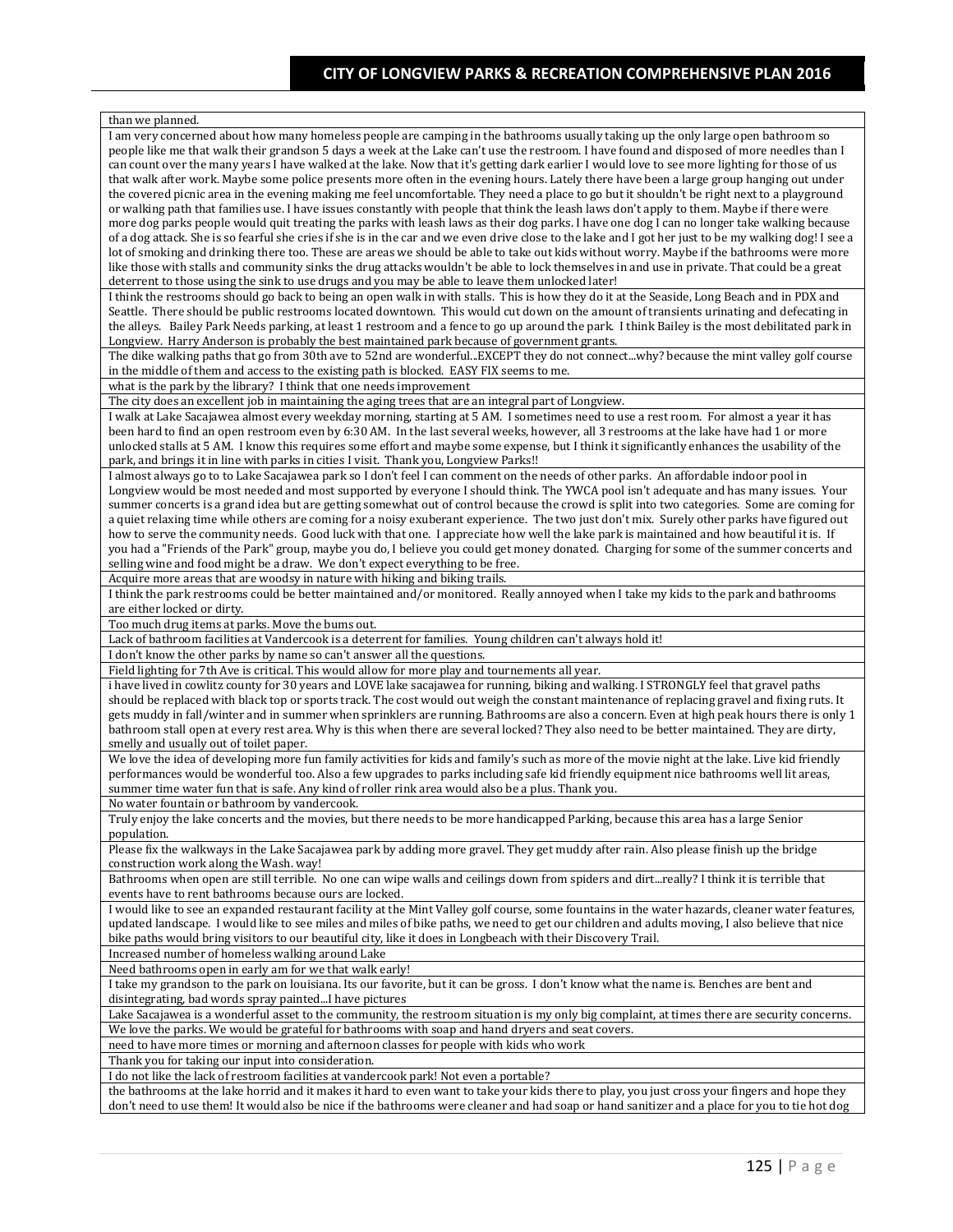| than we planned.                                                                                                                                                                                                                                                                               |
|------------------------------------------------------------------------------------------------------------------------------------------------------------------------------------------------------------------------------------------------------------------------------------------------|
| I am very concerned about how many homeless people are camping in the bathrooms usually taking up the only large open bathroom so                                                                                                                                                              |
| people like me that walk their grandson 5 days a week at the Lake can't use the restroom. I have found and disposed of more needles than I                                                                                                                                                     |
| can count over the many years I have walked at the lake. Now that it's getting dark earlier I would love to see more lighting for those of us                                                                                                                                                  |
| that walk after work. Maybe some police presents more often in the evening hours. Lately there have been a large group hanging out under                                                                                                                                                       |
| the covered picnic area in the evening making me feel uncomfortable. They need a place to go but it shouldn't be right next to a playground<br>or walking path that families use. I have issues constantly with people that think the leash laws don't apply to them. Maybe if there were      |
| more dog parks people would quit treating the parks with leash laws as their dog parks. I have one dog I can no longer take walking because                                                                                                                                                    |
| of a dog attack. She is so fearful she cries if she is in the car and we even drive close to the lake and I got her just to be my walking dog! I see a                                                                                                                                         |
| lot of smoking and drinking there too. These are areas we should be able to take out kids without worry. Maybe if the bathrooms were more                                                                                                                                                      |
| like those with stalls and community sinks the drug attacks wouldn't be able to lock themselves in and use in private. That could be a great                                                                                                                                                   |
| deterrent to those using the sink to use drugs and you may be able to leave them unlocked later!                                                                                                                                                                                               |
| I think the restrooms should go back to being an open walk in with stalls. This is how they do it at the Seaside, Long Beach and in PDX and                                                                                                                                                    |
| Seattle. There should be public restrooms located downtown. This would cut down on the amount of transients urinating and defecating in                                                                                                                                                        |
| the alleys. Bailey Park Needs parking, at least 1 restroom and a fence to go up around the park. I think Bailey is the most debilitated park in                                                                                                                                                |
| Longview. Harry Anderson is probably the best maintained park because of government grants.                                                                                                                                                                                                    |
| The dike walking paths that go from 30th ave to 52nd are wonderfulEXCEPT they do not connectwhy? because the mint valley golf course<br>in the middle of them and access to the existing path is blocked. EASY FIX seems to me.                                                                |
| what is the park by the library? I think that one needs improvement                                                                                                                                                                                                                            |
| The city does an excellent job in maintaining the aging trees that are an integral part of Longview.                                                                                                                                                                                           |
| I walk at Lake Sacajawea almost every weekday morning, starting at 5 AM. I sometimes need to use a rest room. For almost a year it has                                                                                                                                                         |
| been hard to find an open restroom even by 6:30 AM. In the last several weeks, however, all 3 restrooms at the lake have had 1 or more                                                                                                                                                         |
| unlocked stalls at 5 AM. I know this requires some effort and maybe some expense, but I think it significantly enhances the usability of the                                                                                                                                                   |
| park, and brings it in line with parks in cities I visit. Thank you, Longview Parks!!                                                                                                                                                                                                          |
| I almost always go to to Lake Sacajawea park so I don't feel I can comment on the needs of other parks. An affordable indoor pool in                                                                                                                                                           |
| Longview would be most needed and most supported by everyone I should think. The YWCA pool isn't adequate and has many issues. Your                                                                                                                                                            |
| summer concerts is a grand idea but are getting somewhat out of control because the crowd is split into two categories. Some are coming for                                                                                                                                                    |
| a quiet relaxing time while others are coming for a noisy exuberant experience. The two just don't mix. Surely other parks have figured out                                                                                                                                                    |
| how to serve the community needs. Good luck with that one. I appreciate how well the lake park is maintained and how beautiful it is. If                                                                                                                                                       |
| you had a "Friends of the Park" group, maybe you do, I believe you could get money donated. Charging for some of the summer concerts and<br>selling wine and food might be a draw. We don't expect everything to be free.                                                                      |
| Acquire more areas that are woodsy in nature with hiking and biking trails.                                                                                                                                                                                                                    |
| I think the park restrooms could be better maintained and/or monitored. Really annoyed when I take my kids to the park and bathrooms                                                                                                                                                           |
| are either locked or dirty.                                                                                                                                                                                                                                                                    |
|                                                                                                                                                                                                                                                                                                |
| Too much drug items at parks. Move the bums out.                                                                                                                                                                                                                                               |
| Lack of bathroom facilities at Vandercook is a deterrent for families. Young children can't always hold it!                                                                                                                                                                                    |
| I don't know the other parks by name so can't answer all the questions.                                                                                                                                                                                                                        |
| Field lighting for 7th Ave is critical. This would allow for more play and tournements all year.                                                                                                                                                                                               |
| i have lived in cowlitz county for 30 years and LOVE lake sacajawea for running, biking and walking. I STRONGLY feel that gravel paths                                                                                                                                                         |
| should be replaced with black top or sports track. The cost would out weigh the constant maintenance of replacing gravel and fixing ruts. It                                                                                                                                                   |
| gets muddy in fall/winter and in summer when sprinklers are running. Bathrooms are also a concern. Even at high peak hours there is only 1                                                                                                                                                     |
| bathroom stall open at every rest area. Why is this when there are several locked? They also need to be better maintained. They are dirty,                                                                                                                                                     |
| smelly and usually out of toilet paper.                                                                                                                                                                                                                                                        |
| We love the idea of developing more fun family activities for kids and family's such as more of the movie night at the lake. Live kid friendly                                                                                                                                                 |
| performances would be wonderful too. Also a few upgrades to parks including safe kid friendly equipment nice bathrooms well lit areas,                                                                                                                                                         |
| summer time water fun that is safe. Any kind of roller rink area would also be a plus. Thank you.<br>No water fountain or bathroom by vandercook.                                                                                                                                              |
| Truly enjoy the lake concerts and the movies, but there needs to be more handicapped Parking, because this area has a large Senior                                                                                                                                                             |
| population.                                                                                                                                                                                                                                                                                    |
| Please fix the walkways in the Lake Sacajawea park by adding more gravel. They get muddy after rain. Also please finish up the bridge                                                                                                                                                          |
| construction work along the Wash. way!                                                                                                                                                                                                                                                         |
| Bathrooms when open are still terrible. No one can wipe walls and ceilings down from spiders and dirtreally? I think it is terrible that                                                                                                                                                       |
| events have to rent bathrooms because ours are locked.                                                                                                                                                                                                                                         |
| I would like to see an expanded restaurant facility at the Mint Valley golf course, some fountains in the water hazards, cleaner water features,                                                                                                                                               |
| updated landscape. I would like to see miles and miles of bike paths, we need to get our children and adults moving, I also believe that nice                                                                                                                                                  |
| bike paths would bring visitors to our beautiful city, like it does in Longbeach with their Discovery Trail.                                                                                                                                                                                   |
| Increased number of homeless walking around Lake                                                                                                                                                                                                                                               |
| Need bathrooms open in early am for we that walk early!                                                                                                                                                                                                                                        |
| I take my grandson to the park on louisiana. Its our favorite, but it can be gross. I don't know what the name is. Benches are bent and                                                                                                                                                        |
| disintegrating, bad words spray paintedI have pictures                                                                                                                                                                                                                                         |
| Lake Sacajawea is a wonderful asset to the community, the restroom situation is my only big complaint, at times there are security concerns.                                                                                                                                                   |
| We love the parks. We would be grateful for bathrooms with soap and hand dryers and seat covers.                                                                                                                                                                                               |
| need to have more times or morning and afternoon classes for people with kids who work<br>Thank you for taking our input into consideration.                                                                                                                                                   |
| I do not like the lack of restroom facilities at vandercook park! Not even a portable?                                                                                                                                                                                                         |
| the bathrooms at the lake horrid and it makes it hard to even want to take your kids there to play, you just cross your fingers and hope they<br>don't need to use them! It would also be nice if the bathrooms were cleaner and had soap or hand sanitizer and a place for you to tie hot dog |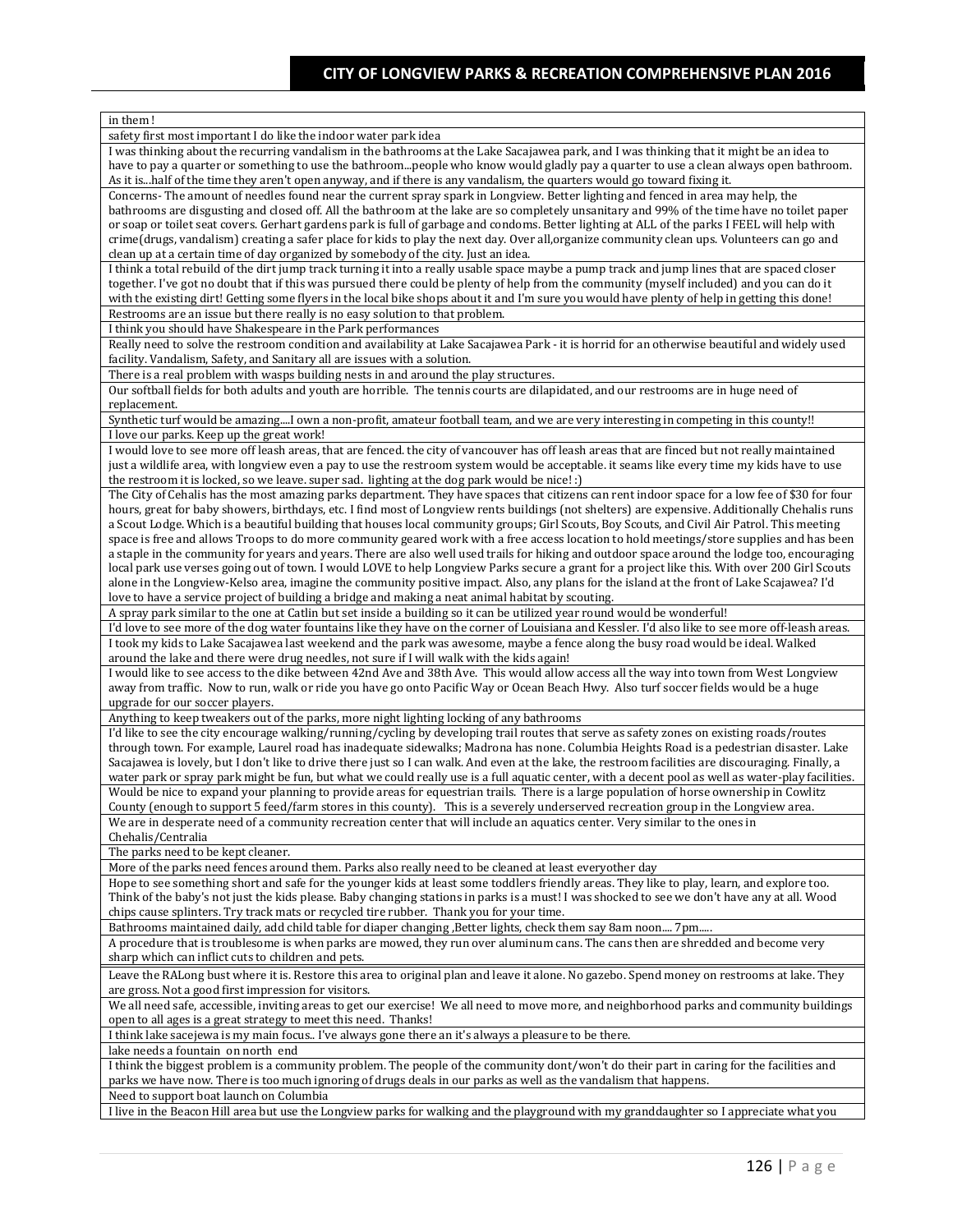| in them!                                                                                                                                                                                                                                                                                      |
|-----------------------------------------------------------------------------------------------------------------------------------------------------------------------------------------------------------------------------------------------------------------------------------------------|
| safety first most important I do like the indoor water park idea                                                                                                                                                                                                                              |
| I was thinking about the recurring vandalism in the bathrooms at the Lake Sacajawea park, and I was thinking that it might be an idea to                                                                                                                                                      |
| have to pay a quarter or something to use the bathroompeople who know would gladly pay a quarter to use a clean always open bathroom.                                                                                                                                                         |
| As it is  half of the time they aren't open anyway, and if there is any vandalism, the quarters would go toward fixing it.                                                                                                                                                                    |
| Concerns-The amount of needles found near the current spray spark in Longview. Better lighting and fenced in area may help, the                                                                                                                                                               |
| bathrooms are disgusting and closed off. All the bathroom at the lake are so completely unsanitary and 99% of the time have no toilet paper                                                                                                                                                   |
| or soap or toilet seat covers. Gerhart gardens park is full of garbage and condoms. Better lighting at ALL of the parks I FEEL will help with                                                                                                                                                 |
| crime(drugs, vandalism) creating a safer place for kids to play the next day. Over all,organize community clean ups. Volunteers can go and                                                                                                                                                    |
| clean up at a certain time of day organized by somebody of the city. Just an idea.<br>I think a total rebuild of the dirt jump track turning it into a really usable space maybe a pump track and jump lines that are spaced closer                                                           |
| together. I've got no doubt that if this was pursued there could be plenty of help from the community (myself included) and you can do it                                                                                                                                                     |
| with the existing dirt! Getting some flyers in the local bike shops about it and I'm sure you would have plenty of help in getting this done!                                                                                                                                                 |
| Restrooms are an issue but there really is no easy solution to that problem.                                                                                                                                                                                                                  |
| I think you should have Shakespeare in the Park performances                                                                                                                                                                                                                                  |
| Really need to solve the restroom condition and availability at Lake Sacajawea Park - it is horrid for an otherwise beautiful and widely used                                                                                                                                                 |
| facility. Vandalism, Safety, and Sanitary all are issues with a solution.                                                                                                                                                                                                                     |
| There is a real problem with wasps building nests in and around the play structures.                                                                                                                                                                                                          |
| Our softball fields for both adults and youth are horrible. The tennis courts are dilapidated, and our restrooms are in huge need of                                                                                                                                                          |
| replacement.                                                                                                                                                                                                                                                                                  |
| Synthetic turf would be amazingI own a non-profit, amateur football team, and we are very interesting in competing in this county!!                                                                                                                                                           |
| I love our parks. Keep up the great work!                                                                                                                                                                                                                                                     |
| I would love to see more off leash areas, that are fenced. the city of vancouver has off leash areas that are finced but not really maintained                                                                                                                                                |
| just a wildlife area, with longview even a pay to use the restroom system would be acceptable. it seams like every time my kids have to use                                                                                                                                                   |
| the restroom it is locked, so we leave. super sad. lighting at the dog park would be nice! :)                                                                                                                                                                                                 |
| The City of Cehalis has the most amazing parks department. They have spaces that citizens can rent indoor space for a low fee of \$30 for four                                                                                                                                                |
| hours, great for baby showers, birthdays, etc. I find most of Longview rents buildings (not shelters) are expensive. Additionally Chehalis runs                                                                                                                                               |
| a Scout Lodge. Which is a beautiful building that houses local community groups; Girl Scouts, Boy Scouts, and Civil Air Patrol. This meeting<br>space is free and allows Troops to do more community geared work with a free access location to hold meetings/store supplies and has been     |
| a staple in the community for years and years. There are also well used trails for hiking and outdoor space around the lodge too, encouraging                                                                                                                                                 |
| local park use verses going out of town. I would LOVE to help Longview Parks secure a grant for a project like this. With over 200 Girl Scouts                                                                                                                                                |
| alone in the Longview-Kelso area, imagine the community positive impact. Also, any plans for the island at the front of Lake Scajawea? I'd                                                                                                                                                    |
| love to have a service project of building a bridge and making a neat animal habitat by scouting.                                                                                                                                                                                             |
| A spray park similar to the one at Catlin but set inside a building so it can be utilized year round would be wonderful!                                                                                                                                                                      |
| I'd love to see more of the dog water fountains like they have on the corner of Louisiana and Kessler. I'd also like to see more off-leash areas.                                                                                                                                             |
| I took my kids to Lake Sacajawea last weekend and the park was awesome, maybe a fence along the busy road would be ideal. Walked                                                                                                                                                              |
| around the lake and there were drug needles, not sure if I will walk with the kids again!                                                                                                                                                                                                     |
| I would like to see access to the dike between 42nd Ave and 38th Ave. This would allow access all the way into town from West Longview                                                                                                                                                        |
| away from traffic. Now to run, walk or ride you have go onto Pacific Way or Ocean Beach Hwy. Also turf soccer fields would be a huge                                                                                                                                                          |
| upgrade for our soccer players.                                                                                                                                                                                                                                                               |
| Anything to keep tweakers out of the parks, more night lighting locking of any bathrooms                                                                                                                                                                                                      |
| I'd like to see the city encourage walking/running/cycling by developing trail routes that serve as safety zones on existing roads/routes                                                                                                                                                     |
| through town. For example, Laurel road has inadequate sidewalks; Madrona has none. Columbia Heights Road is a pedestrian disaster. Lake                                                                                                                                                       |
| Sacajawea is lovely, but I don't like to drive there just so I can walk. And even at the lake, the restroom facilities are discouraging. Finally, a                                                                                                                                           |
| water park or spray park might be fun, but what we could really use is a full aquatic center, with a decent pool as well as water-play facilities.<br>Would be nice to expand your planning to provide areas for equestrian trails. There is a large population of horse ownership in Cowlitz |
| County (enough to support 5 feed/farm stores in this county). This is a severely underserved recreation group in the Longview area.                                                                                                                                                           |
| We are in desperate need of a community recreation center that will include an aquatics center. Very similar to the ones in                                                                                                                                                                   |
| Chehalis/Centralia                                                                                                                                                                                                                                                                            |
| The parks need to be kept cleaner.                                                                                                                                                                                                                                                            |
| More of the parks need fences around them. Parks also really need to be cleaned at least everyother day                                                                                                                                                                                       |
| Hope to see something short and safe for the younger kids at least some toddlers friendly areas. They like to play, learn, and explore too.                                                                                                                                                   |
| Think of the baby's not just the kids please. Baby changing stations in parks is a must! I was shocked to see we don't have any at all. Wood                                                                                                                                                  |
| chips cause splinters. Try track mats or recycled tire rubber. Thank you for your time.                                                                                                                                                                                                       |
| Bathrooms maintained daily, add child table for diaper changing , Better lights, check them say 8am noon 7pm                                                                                                                                                                                  |
| A procedure that is troublesome is when parks are mowed, they run over aluminum cans. The cans then are shredded and become very                                                                                                                                                              |
| sharp which can inflict cuts to children and pets.                                                                                                                                                                                                                                            |
| Leave the RALong bust where it is. Restore this area to original plan and leave it alone. No gazebo. Spend money on restrooms at lake. They                                                                                                                                                   |
| are gross. Not a good first impression for visitors.                                                                                                                                                                                                                                          |
| We all need safe, accessible, inviting areas to get our exercise! We all need to move more, and neighborhood parks and community buildings                                                                                                                                                    |
| open to all ages is a great strategy to meet this need. Thanks!                                                                                                                                                                                                                               |
| I think lake sacejewa is my main focus I've always gone there an it's always a pleasure to be there.                                                                                                                                                                                          |
| lake needs a fountain on north end                                                                                                                                                                                                                                                            |
| I think the biggest problem is a community problem. The people of the community dont/won't do their part in caring for the facilities and                                                                                                                                                     |
| parks we have now. There is too much ignoring of drugs deals in our parks as well as the vandalism that happens.                                                                                                                                                                              |
| Need to support boat launch on Columbia                                                                                                                                                                                                                                                       |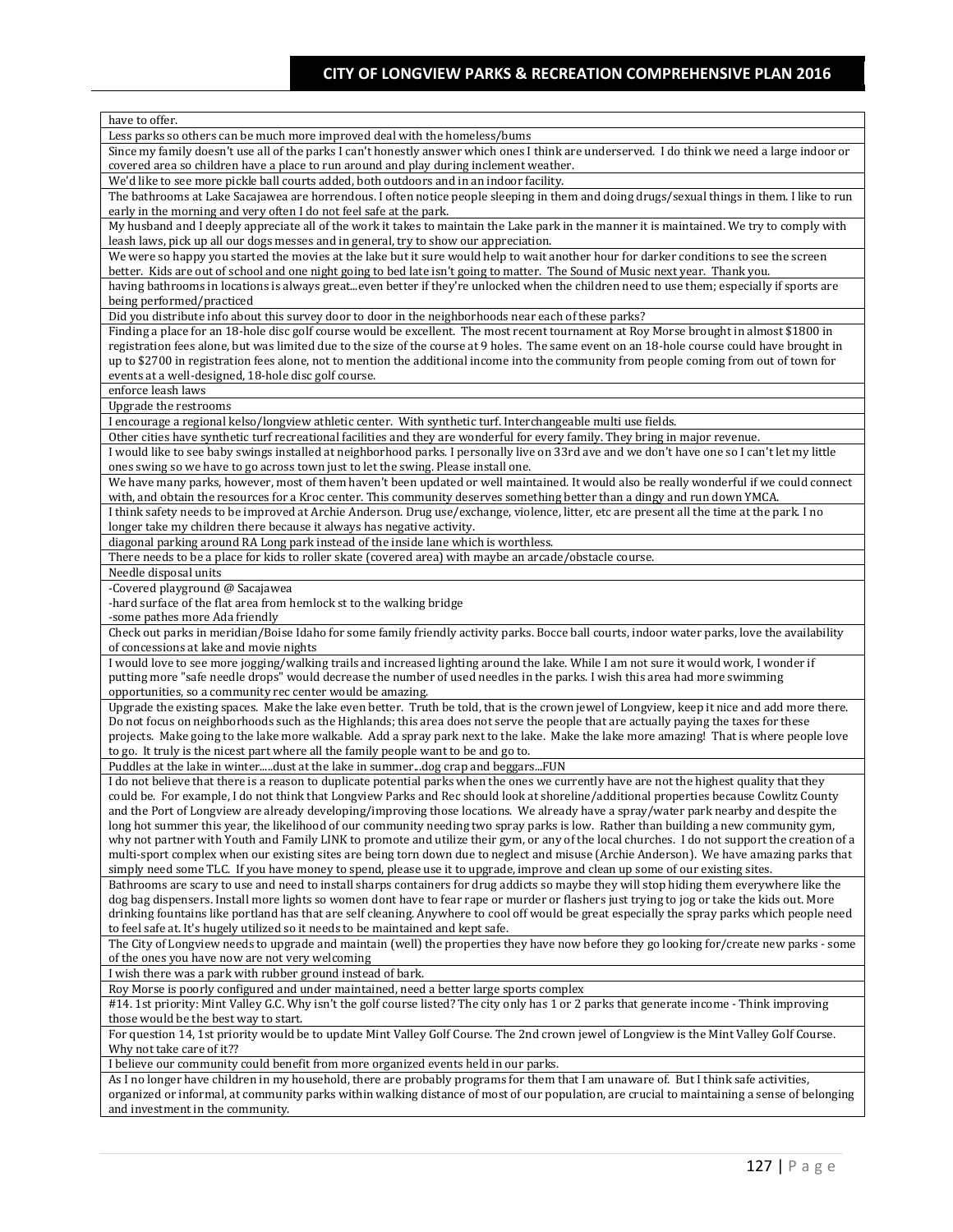| have to offer.                                                                                                                                                                                                                                                                               |
|----------------------------------------------------------------------------------------------------------------------------------------------------------------------------------------------------------------------------------------------------------------------------------------------|
| Less parks so others can be much more improved deal with the homeless/bums                                                                                                                                                                                                                   |
| Since my family doesn't use all of the parks I can't honestly answer which ones I think are underserved. I do think we need a large indoor or                                                                                                                                                |
| covered area so children have a place to run around and play during inclement weather.                                                                                                                                                                                                       |
| We'd like to see more pickle ball courts added, both outdoors and in an indoor facility.                                                                                                                                                                                                     |
| The bathrooms at Lake Sacajawea are horrendous. I often notice people sleeping in them and doing drugs/sexual things in them. I like to run                                                                                                                                                  |
| early in the morning and very often I do not feel safe at the park.                                                                                                                                                                                                                          |
| My husband and I deeply appreciate all of the work it takes to maintain the Lake park in the manner it is maintained. We try to comply with                                                                                                                                                  |
| leash laws, pick up all our dogs messes and in general, try to show our appreciation.<br>We were so happy you started the movies at the lake but it sure would help to wait another hour for darker conditions to see the screen                                                             |
| better. Kids are out of school and one night going to bed late isn't going to matter. The Sound of Music next year. Thank you.                                                                                                                                                               |
| having bathrooms in locations is always greateven better if they're unlocked when the children need to use them; especially if sports are                                                                                                                                                    |
| being performed/practiced                                                                                                                                                                                                                                                                    |
| Did you distribute info about this survey door to door in the neighborhoods near each of these parks?                                                                                                                                                                                        |
| Finding a place for an 18-hole disc golf course would be excellent. The most recent tournament at Roy Morse brought in almost \$1800 in                                                                                                                                                      |
| registration fees alone, but was limited due to the size of the course at 9 holes. The same event on an 18-hole course could have brought in                                                                                                                                                 |
| up to \$2700 in registration fees alone, not to mention the additional income into the community from people coming from out of town for                                                                                                                                                     |
| events at a well-designed, 18-hole disc golf course.                                                                                                                                                                                                                                         |
| enforce leash laws                                                                                                                                                                                                                                                                           |
| Upgrade the restrooms                                                                                                                                                                                                                                                                        |
| I encourage a regional kelso/longview athletic center. With synthetic turf. Interchangeable multi use fields.                                                                                                                                                                                |
| Other cities have synthetic turf recreational facilities and they are wonderful for every family. They bring in major revenue.<br>I would like to see baby swings installed at neighborhood parks. I personally live on 33rd ave and we don't have one so I can't let my little              |
| ones swing so we have to go across town just to let the swing. Please install one.                                                                                                                                                                                                           |
| We have many parks, however, most of them haven't been updated or well maintained. It would also be really wonderful if we could connect                                                                                                                                                     |
| with, and obtain the resources for a Kroc center. This community deserves something better than a dingy and run down YMCA.                                                                                                                                                                   |
| I think safety needs to be improved at Archie Anderson. Drug use/exchange, violence, litter, etc are present all the time at the park. I no                                                                                                                                                  |
| longer take my children there because it always has negative activity.                                                                                                                                                                                                                       |
| diagonal parking around RA Long park instead of the inside lane which is worthless.                                                                                                                                                                                                          |
| There needs to be a place for kids to roller skate (covered area) with maybe an arcade/obstacle course.                                                                                                                                                                                      |
| Needle disposal units                                                                                                                                                                                                                                                                        |
| -Covered playground @ Sacajawea                                                                                                                                                                                                                                                              |
| -hard surface of the flat area from hemlock st to the walking bridge                                                                                                                                                                                                                         |
| -some pathes more Ada friendly<br>Check out parks in meridian/Boise Idaho for some family friendly activity parks. Bocce ball courts, indoor water parks, love the availability                                                                                                              |
| of concessions at lake and movie nights                                                                                                                                                                                                                                                      |
| I would love to see more jogging/walking trails and increased lighting around the lake. While I am not sure it would work, I wonder if                                                                                                                                                       |
| putting more "safe needle drops" would decrease the number of used needles in the parks. I wish this area had more swimming                                                                                                                                                                  |
| opportunities, so a community rec center would be amazing.                                                                                                                                                                                                                                   |
| Upgrade the existing spaces. Make the lake even better. Truth be told, that is the crown jewel of Longview, keep it nice and add more there.                                                                                                                                                 |
| Do not focus on neighborhoods such as the Highlands; this area does not serve the people that are actually paying the taxes for these                                                                                                                                                        |
| projects. Make going to the lake more walkable. Add a spray park next to the lake. Make the lake more amazing! That is where people love                                                                                                                                                     |
| to go. It truly is the nicest part where all the family people want to be and go to.<br>Puddles at the lake in winterdust at the lake in summerdog crap and beggarsFUN                                                                                                                       |
| I do not believe that there is a reason to duplicate potential parks when the ones we currently have are not the highest quality that they                                                                                                                                                   |
| could be. For example, I do not think that Longview Parks and Rec should look at shoreline/additional properties because Cowlitz County                                                                                                                                                      |
| and the Port of Longview are already developing/improving those locations. We already have a spray/water park nearby and despite the                                                                                                                                                         |
| long hot summer this year, the likelihood of our community needing two spray parks is low. Rather than building a new community gym,                                                                                                                                                         |
| why not partner with Youth and Family LINK to promote and utilize their gym, or any of the local churches. I do not support the creation of a                                                                                                                                                |
| multi-sport complex when our existing sites are being torn down due to neglect and misuse (Archie Anderson). We have amazing parks that                                                                                                                                                      |
| simply need some TLC. If you have money to spend, please use it to upgrade, improve and clean up some of our existing sites.                                                                                                                                                                 |
| Bathrooms are scary to use and need to install sharps containers for drug addicts so maybe they will stop hiding them everywhere like the                                                                                                                                                    |
| dog bag dispensers. Install more lights so women dont have to fear rape or murder or flashers just trying to jog or take the kids out. More<br>drinking fountains like portland has that are self cleaning. Anywhere to cool off would be great especially the spray parks which people need |
| to feel safe at. It's hugely utilized so it needs to be maintained and kept safe.                                                                                                                                                                                                            |
| The City of Longview needs to upgrade and maintain (well) the properties they have now before they go looking for/create new parks - some                                                                                                                                                    |
| of the ones you have now are not very welcoming                                                                                                                                                                                                                                              |
| I wish there was a park with rubber ground instead of bark.                                                                                                                                                                                                                                  |
| Roy Morse is poorly configured and under maintained, need a better large sports complex                                                                                                                                                                                                      |
| #14. 1st priority: Mint Valley G.C. Why isn't the golf course listed? The city only has 1 or 2 parks that generate income - Think improving                                                                                                                                                  |
| those would be the best way to start.                                                                                                                                                                                                                                                        |
| For question 14, 1st priority would be to update Mint Valley Golf Course. The 2nd crown jewel of Longview is the Mint Valley Golf Course.                                                                                                                                                    |
| Why not take care of it??                                                                                                                                                                                                                                                                    |
| I believe our community could benefit from more organized events held in our parks.<br>As I no longer have children in my household, there are probably programs for them that I am unaware of. But I think safe activities,                                                                 |
| organized or informal, at community parks within walking distance of most of our population, are crucial to maintaining a sense of belonging                                                                                                                                                 |
| and investment in the community.                                                                                                                                                                                                                                                             |
|                                                                                                                                                                                                                                                                                              |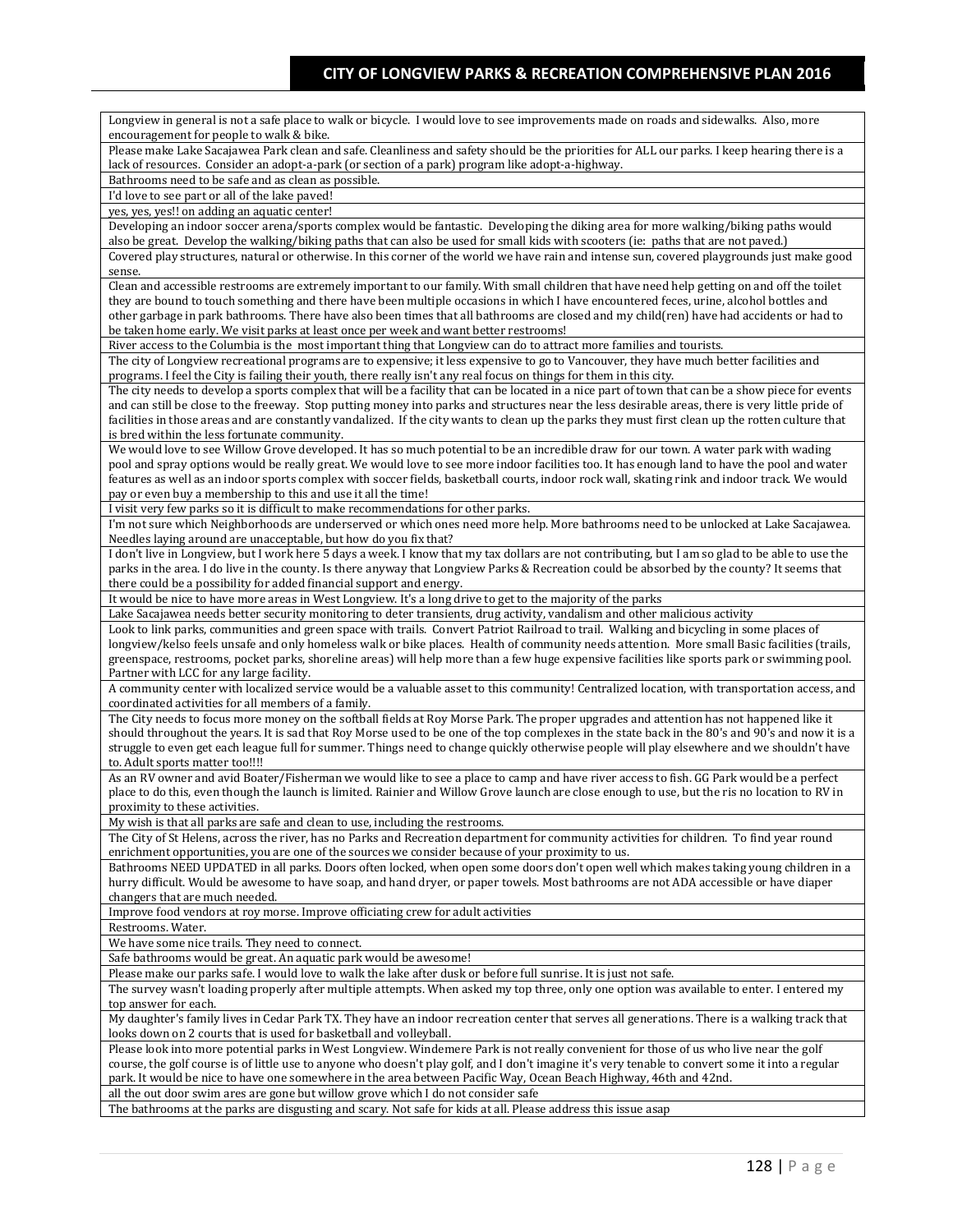Longview in general is not a safe place to walk or bicycle. I would love to see improvements made on roads and sidewalks. Also, more encouragement for people to walk & bike. Please make Lake Sacajawea Park clean and safe. Cleanliness and safety should be the priorities for ALL our parks. I keep hearing there is a lack of resources. Consider an adopt-a-park (or section of a park) program like adopt-a-highway. Bathrooms need to be safe and as clean as possible. I'd love to see part or all of the lake paved! yes, yes, yes!! on adding an aquatic center! Developing an indoor soccer arena/sports complex would be fantastic. Developing the diking area for more walking/biking paths would also be great. Develop the walking/biking paths that can also be used for small kids with scooters (ie: paths that are not paved.) Covered play structures, natural or otherwise. In this corner of the world we have rain and intense sun, covered playgrounds just make good sense. Clean and accessible restrooms are extremely important to our family. With small children that have need help getting on and off the toilet they are bound to touch something and there have been multiple occasions in which I have encountered feces, urine, alcohol bottles and other garbage in park bathrooms. There have also been times that all bathrooms are closed and my child(ren) have had accidents or had to be taken home early. We visit parks at least once per week and want better restrooms! River access to the Columbia is the most important thing that Longview can do to attract more families and tourists. The city of Longview recreational programs are to expensive; it less expensive to go to Vancouver, they have much better facilities and programs. I feel the City is failing their youth, there really isn't any real focus on things for them in this city. The city needs to develop a sports complex that will be a facility that can be located in a nice part of town that can be a show piece for events and can still be close to the freeway. Stop putting money into parks and structures near the less desirable areas, there is very little pride of facilities in those areas and are constantly vandalized. If the city wants to clean up the parks they must first clean up the rotten culture that is bred within the less fortunate community. We would love to see Willow Grove developed. It has so much potential to be an incredible draw for our town. A water park with wading pool and spray options would be really great. We would love to see more indoor facilities too. It has enough land to have the pool and water features as well as an indoor sports complex with soccer fields, basketball courts, indoor rock wall, skating rink and indoor track. We would pay or even buy a membership to this and use it all the time! I visit very few parks so it is difficult to make recommendations for other parks. I'm not sure which Neighborhoods are underserved or which ones need more help. More bathrooms need to be unlocked at Lake Sacajawea. Needles laying around are unacceptable, but how do you fix that? I don't live in Longview, but I work here 5 days a week. I know that my tax dollars are not contributing, but I am so glad to be able to use the parks in the area. I do live in the county. Is there anyway that Longview Parks & Recreation could be absorbed by the county? It seems that there could be a possibility for added financial support and energy. It would be nice to have more areas in West Longview. It's a long drive to get to the majority of the parks Lake Sacajawea needs better security monitoring to deter transients, drug activity, vandalism and other malicious activity Look to link parks, communities and green space with trails. Convert Patriot Railroad to trail. Walking and bicycling in some places of longview/kelso feels unsafe and only homeless walk or bike places. Health of community needs attention. More small Basic facilities (trails, greenspace, restrooms, pocket parks, shoreline areas) will help more than a few huge expensive facilities like sports park or swimming pool. Partner with LCC for any large facility. A community center with localized service would be a valuable asset to this community! Centralized location, with transportation access, and coordinated activities for all members of a family. The City needs to focus more money on the softball fields at Roy Morse Park. The proper upgrades and attention has not happened like it should throughout the years. It is sad that Roy Morse used to be one of the top complexes in the state back in the 80's and 90's and now it is a struggle to even get each league full for summer. Things need to change quickly otherwise people will play elsewhere and we shouldn't have to. Adult sports matter too!!!! As an RV owner and avid Boater/Fisherman we would like to see a place to camp and have river access to fish. GG Park would be a perfect place to do this, even though the launch is limited. Rainier and Willow Grove launch are close enough to use, but the ris no location to RV in proximity to these activities. My wish is that all parks are safe and clean to use, including the restrooms. The City of St Helens, across the river, has no Parks and Recreation department for community activities for children. To find year round enrichment opportunities, you are one of the sources we consider because of your proximity to us. Bathrooms NEED UPDATED in all parks. Doors often locked, when open some doors don't open well which makes taking young children in a hurry difficult. Would be awesome to have soap, and hand dryer, or paper towels. Most bathrooms are not ADA accessible or have diaper changers that are much needed. Improve food vendors at roy morse. Improve officiating crew for adult activities Restrooms. Water. We have some nice trails. They need to connect. Safe bathrooms would be great. An aquatic park would be awesome! Please make our parks safe. I would love to walk the lake after dusk or before full sunrise. It is just not safe. The survey wasn't loading properly after multiple attempts. When asked my top three, only one option was available to enter. I entered my top answer for each. My daughter's family lives in Cedar Park TX. They have an indoor recreation center that serves all generations. There is a walking track that looks down on 2 courts that is used for basketball and volleyball. Please look into more potential parks in West Longview. Windemere Park is not really convenient for those of us who live near the golf course, the golf course is of little use to anyone who doesn't play golf, and I don't imagine it's very tenable to convert some it into a regular park. It would be nice to have one somewhere in the area between Pacific Way, Ocean Beach Highway, 46th and 42nd. all the out door swim ares are gone but willow grove which I do not consider safe The bathrooms at the parks are disgusting and scary. Not safe for kids at all. Please address this issue asap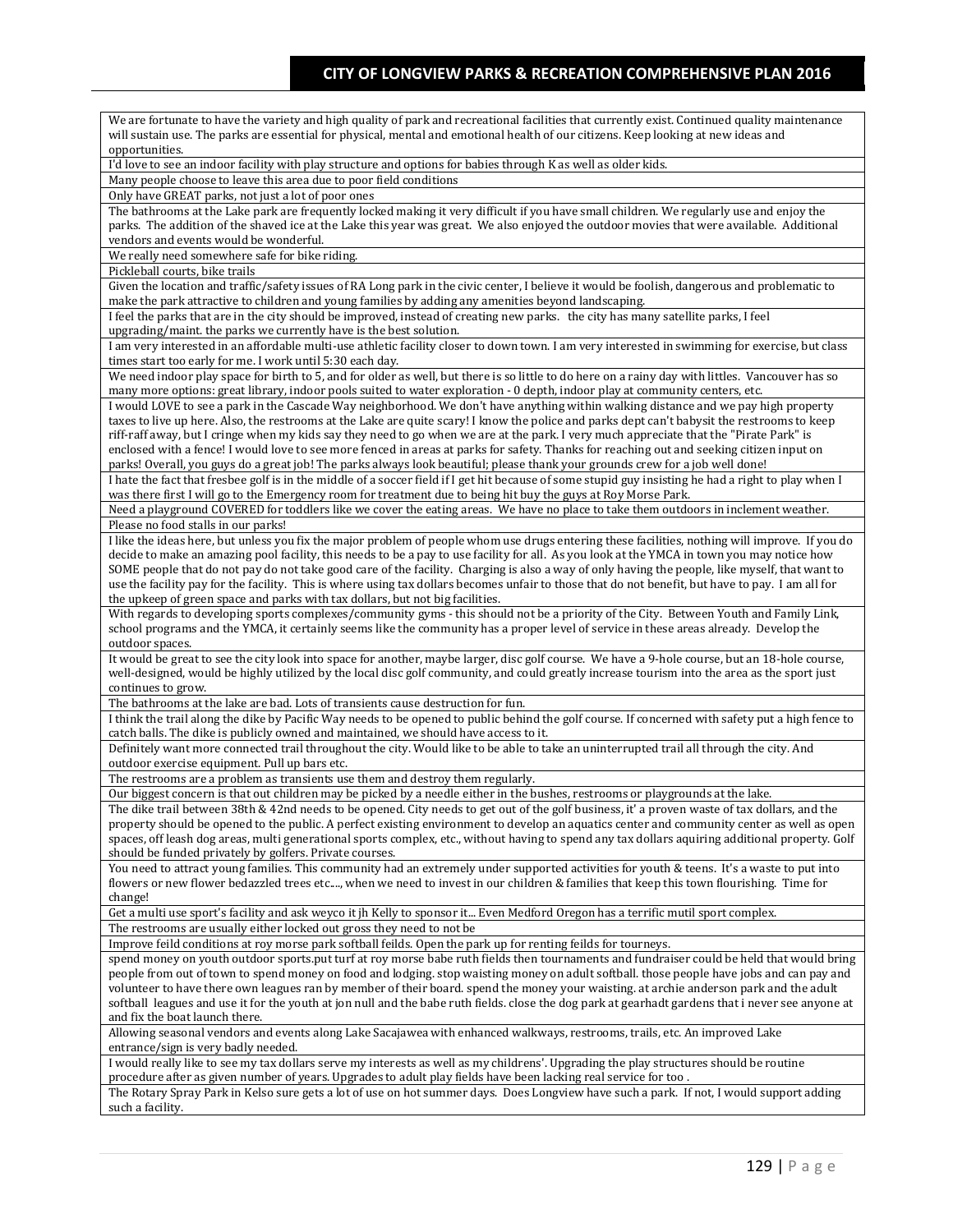| We are fortunate to have the variety and high quality of park and recreational facilities that currently exist. Continued quality maintenance<br>will sustain use. The parks are essential for physical, mental and emotional health of our citizens. Keep looking at new ideas and            |
|------------------------------------------------------------------------------------------------------------------------------------------------------------------------------------------------------------------------------------------------------------------------------------------------|
| opportunities.                                                                                                                                                                                                                                                                                 |
| I'd love to see an indoor facility with play structure and options for babies through K as well as older kids.<br>Many people choose to leave this area due to poor field conditions                                                                                                           |
| Only have GREAT parks, not just a lot of poor ones                                                                                                                                                                                                                                             |
| The bathrooms at the Lake park are frequently locked making it very difficult if you have small children. We regularly use and enjoy the                                                                                                                                                       |
| parks. The addition of the shaved ice at the Lake this year was great. We also enjoyed the outdoor movies that were available. Additional                                                                                                                                                      |
| vendors and events would be wonderful.                                                                                                                                                                                                                                                         |
| We really need somewhere safe for bike riding.                                                                                                                                                                                                                                                 |
| Pickleball courts, bike trails<br>Given the location and traffic/safety issues of RA Long park in the civic center, I believe it would be foolish, dangerous and problematic to                                                                                                                |
| make the park attractive to children and young families by adding any amenities beyond landscaping.                                                                                                                                                                                            |
| I feel the parks that are in the city should be improved, instead of creating new parks. the city has many satellite parks, I feel                                                                                                                                                             |
| upgrading/maint. the parks we currently have is the best solution.                                                                                                                                                                                                                             |
| I am very interested in an affordable multi-use athletic facility closer to down town. I am very interested in swimming for exercise, but class<br>times start too early for me. I work until 5:30 each day.                                                                                   |
| We need indoor play space for birth to 5, and for older as well, but there is so little to do here on a rainy day with littles. Vancouver has so                                                                                                                                               |
| many more options: great library, indoor pools suited to water exploration - 0 depth, indoor play at community centers, etc.                                                                                                                                                                   |
| I would LOVE to see a park in the Cascade Way neighborhood. We don't have anything within walking distance and we pay high property                                                                                                                                                            |
| taxes to live up here. Also, the restrooms at the Lake are quite scary! I know the police and parks dept can't babysit the restrooms to keep                                                                                                                                                   |
| riff-raff away, but I cringe when my kids say they need to go when we are at the park. I very much appreciate that the "Pirate Park" is<br>enclosed with a fence! I would love to see more fenced in areas at parks for safety. Thanks for reaching out and seeking citizen input on           |
| parks! Overall, you guys do a great job! The parks always look beautiful; please thank your grounds crew for a job well done!                                                                                                                                                                  |
| I hate the fact that freshee golf is in the middle of a soccer field if I get hit because of some stupid guy insisting he had a right to play when I                                                                                                                                           |
| was there first I will go to the Emergency room for treatment due to being hit buy the guys at Roy Morse Park.                                                                                                                                                                                 |
| Need a playground COVERED for toddlers like we cover the eating areas. We have no place to take them outdoors in inclement weather.                                                                                                                                                            |
| Please no food stalls in our parks!                                                                                                                                                                                                                                                            |
| I like the ideas here, but unless you fix the major problem of people whom use drugs entering these facilities, nothing will improve. If you do<br>decide to make an amazing pool facility, this needs to be a pay to use facility for all. As you look at the YMCA in town you may notice how |
| SOME people that do not pay do not take good care of the facility. Charging is also a way of only having the people, like myself, that want to                                                                                                                                                 |
| use the facility pay for the facility. This is where using tax dollars becomes unfair to those that do not benefit, but have to pay. I am all for                                                                                                                                              |
| the upkeep of green space and parks with tax dollars, but not big facilities.                                                                                                                                                                                                                  |
| With regards to developing sports complexes/community gyms - this should not be a priority of the City. Between Youth and Family Link,                                                                                                                                                         |
| school programs and the YMCA, it certainly seems like the community has a proper level of service in these areas already. Develop the<br>outdoor spaces.                                                                                                                                       |
| It would be great to see the city look into space for another, maybe larger, disc golf course. We have a 9-hole course, but an 18-hole course,                                                                                                                                                 |
| well-designed, would be highly utilized by the local disc golf community, and could greatly increase tourism into the area as the sport just                                                                                                                                                   |
| continues to grow.                                                                                                                                                                                                                                                                             |
| The bathrooms at the lake are bad. Lots of transients cause destruction for fun.                                                                                                                                                                                                               |
| I think the trail along the dike by Pacific Way needs to be opened to public behind the golf course. If concerned with safety put a high fence to                                                                                                                                              |
| catch balls. The dike is publicly owned and maintained, we should have access to it.<br>Definitely want more connected trail throughout the city. Would like to be able to take an uninterrupted trail all through the city. And                                                               |
| outdoor exercise equipment. Pull up bars etc.                                                                                                                                                                                                                                                  |
| The restrooms are a problem as transients use them and destroy them regularly.                                                                                                                                                                                                                 |
| Our biggest concern is that out children may be picked by a needle either in the bushes, restrooms or playgrounds at the lake.                                                                                                                                                                 |
| The dike trail between 38th & 42nd needs to be opened. City needs to get out of the golf business, it' a proven waste of tax dollars, and the                                                                                                                                                  |
| property should be opened to the public. A perfect existing environment to develop an aquatics center and community center as well as open<br>spaces, off leash dog areas, multi generational sports complex, etc., without having to spend any tax dollars aquiring additional property. Golf |
| should be funded privately by golfers. Private courses.                                                                                                                                                                                                                                        |
| You need to attract young families. This community had an extremely under supported activities for youth & teens. It's a waste to put into                                                                                                                                                     |
| flowers or new flower bedazzled trees etc,, when we need to invest in our children & families that keep this town flourishing. Time for                                                                                                                                                        |
| change!                                                                                                                                                                                                                                                                                        |
| Get a multi use sport's facility and ask weyco it jh Kelly to sponsor it Even Medford Oregon has a terrific mutil sport complex.                                                                                                                                                               |
| The restrooms are usually either locked out gross they need to not be<br>Improve feild conditions at roy morse park softball feilds. Open the park up for renting feilds for tourneys.                                                                                                         |
| spend money on youth outdoor sports.put turf at roy morse babe ruth fields then tournaments and fundraiser could be held that would bring                                                                                                                                                      |
| people from out of town to spend money on food and lodging, stop waisting money on adult softball, those people have jobs and can pay and                                                                                                                                                      |
| volunteer to have there own leagues ran by member of their board, spend the money your waisting, at archie anderson park and the adult                                                                                                                                                         |
| softball leagues and use it for the youth at jon null and the babe ruth fields, close the dog park at gearhadt gardens that i never see anyone at                                                                                                                                              |
| and fix the boat launch there.                                                                                                                                                                                                                                                                 |
| Allowing seasonal vendors and events along Lake Sacajawea with enhanced walkways, restrooms, trails, etc. An improved Lake<br>entrance/sign is very badly needed.                                                                                                                              |
| I would really like to see my tax dollars serve my interests as well as my childrens'. Upgrading the play structures should be routine                                                                                                                                                         |
| procedure after as given number of years. Upgrades to adult play fields have been lacking real service for too.                                                                                                                                                                                |
| The Rotary Spray Park in Kelso sure gets a lot of use on hot summer days. Does Longview have such a park. If not, I would support adding                                                                                                                                                       |
| such a facility.                                                                                                                                                                                                                                                                               |
|                                                                                                                                                                                                                                                                                                |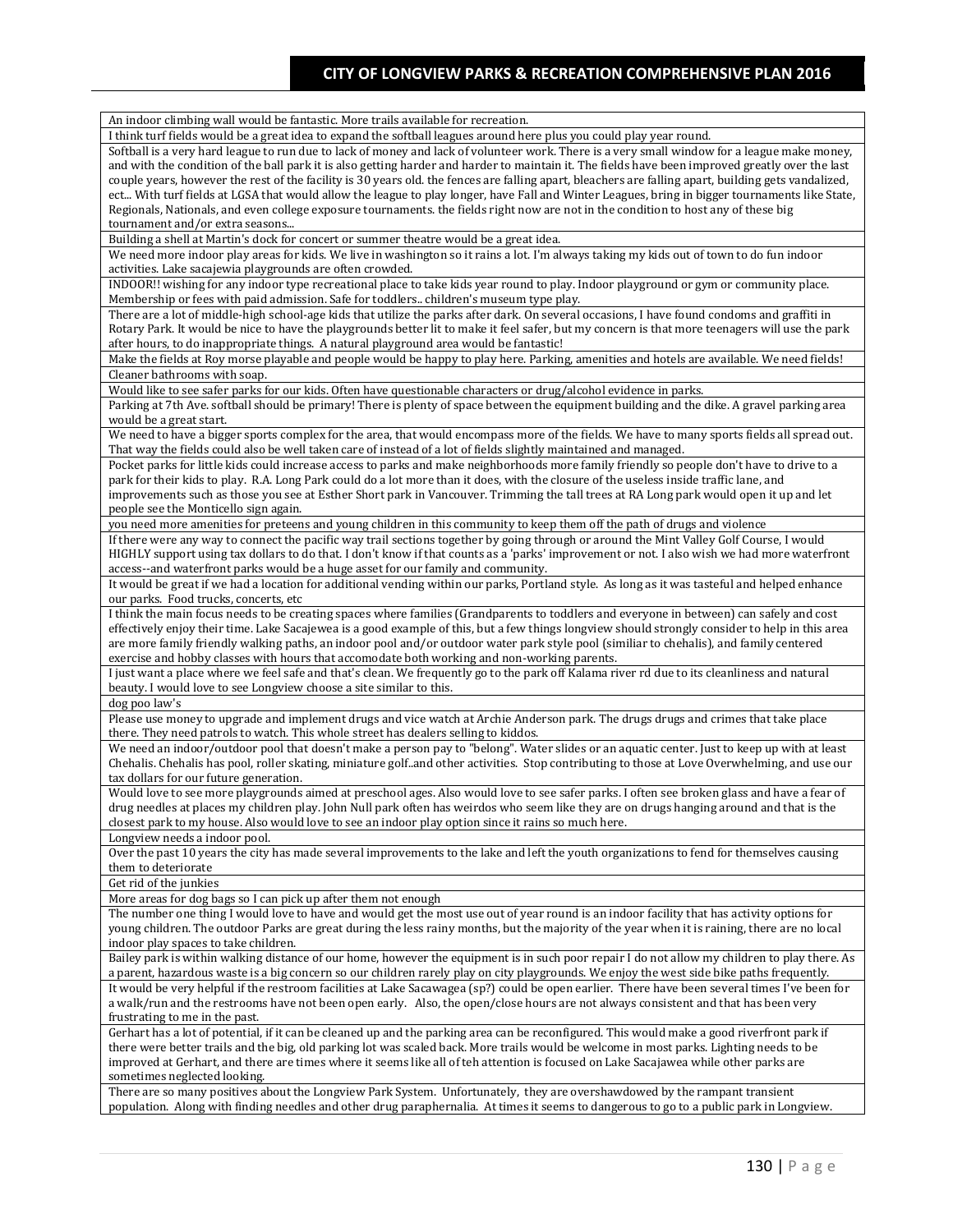| An indoor climbing wall would be fantastic. More trails available for recreation.                                                                    |
|------------------------------------------------------------------------------------------------------------------------------------------------------|
| I think turf fields would be a great idea to expand the softball leagues around here plus you could play year round.                                 |
| Softball is a very hard league to run due to lack of money and lack of volunteer work. There is a very small window for a league make money,         |
| and with the condition of the ball park it is also getting harder and harder to maintain it. The fields have been improved greatly over the last     |
| couple years, however the rest of the facility is 30 years old. the fences are falling apart, bleachers are falling apart, building gets vandalized, |
|                                                                                                                                                      |
| ect With turf fields at LGSA that would allow the league to play longer, have Fall and Winter Leagues, bring in bigger tournaments like State,       |
| Regionals, Nationals, and even college exposure tournaments. the fields right now are not in the condition to host any of these big                  |
| tournament and/or extra seasons                                                                                                                      |
| Building a shell at Martin's dock for concert or summer theatre would be a great idea.                                                               |
| We need more indoor play areas for kids. We live in washington so it rains a lot. I'm always taking my kids out of town to do fun indoor             |
| activities. Lake sacajewia playgrounds are often crowded.                                                                                            |
| INDOOR!! wishing for any indoor type recreational place to take kids year round to play. Indoor playground or gym or community place.                |
| Membership or fees with paid admission. Safe for toddlers children's museum type play.                                                               |
| There are a lot of middle-high school-age kids that utilize the parks after dark. On several occasions, I have found condoms and graffiti in         |
| Rotary Park. It would be nice to have the playgrounds better lit to make it feel safer, but my concern is that more teenagers will use the park      |
| after hours, to do inappropriate things. A natural playground area would be fantastic!                                                               |
| Make the fields at Roy morse playable and people would be happy to play here. Parking, amenities and hotels are available. We need fields!           |
|                                                                                                                                                      |
| Cleaner bathrooms with soap.                                                                                                                         |
| Would like to see safer parks for our kids. Often have questionable characters or drug/alcohol evidence in parks.                                    |
| Parking at 7th Ave. softball should be primary! There is plenty of space between the equipment building and the dike. A gravel parking area          |
| would be a great start.                                                                                                                              |
| We need to have a bigger sports complex for the area, that would encompass more of the fields. We have to many sports fields all spread out.         |
| That way the fields could also be well taken care of instead of a lot of fields slightly maintained and managed.                                     |
| Pocket parks for little kids could increase access to parks and make neighborhoods more family friendly so people don't have to drive to a           |
| park for their kids to play. R.A. Long Park could do a lot more than it does, with the closure of the useless inside traffic lane, and               |
| improvements such as those you see at Esther Short park in Vancouver. Trimming the tall trees at RA Long park would open it up and let               |
| people see the Monticello sign again.                                                                                                                |
| you need more amenities for preteens and young children in this community to keep them off the path of drugs and violence                            |
| If there were any way to connect the pacific way trail sections together by going through or around the Mint Valley Golf Course, I would             |
|                                                                                                                                                      |
| HIGHLY support using tax dollars to do that. I don't know if that counts as a 'parks' improvement or not. I also wish we had more waterfront         |
| access--and waterfront parks would be a huge asset for our family and community.                                                                     |
| It would be great if we had a location for additional vending within our parks, Portland style. As long as it was tasteful and helped enhance        |
| our parks. Food trucks, concerts, etc                                                                                                                |
| I think the main focus needs to be creating spaces where families (Grandparents to toddlers and everyone in between) can safely and cost             |
| effectively enjoy their time. Lake Sacajewea is a good example of this, but a few things longview should strongly consider to help in this area      |
| are more family friendly walking paths, an indoor pool and/or outdoor water park style pool (similiar to chehalis), and family centered              |
| exercise and hobby classes with hours that accomodate both working and non-working parents.                                                          |
| I just want a place where we feel safe and that's clean. We frequently go to the park off Kalama river rd due to its cleanliness and natural         |
| beauty. I would love to see Longview choose a site similar to this.                                                                                  |
| dog poo law's                                                                                                                                        |
| Please use money to upgrade and implement drugs and vice watch at Archie Anderson park. The drugs drugs and crimes that take place                   |
|                                                                                                                                                      |
| there. They need patrols to watch. This whole street has dealers selling to kiddos.                                                                  |
| We need an indoor/outdoor pool that doesn't make a person pay to "belong". Water slides or an aquatic center. Just to keep up with at least          |
| Chehalis. Chehalis has pool, roller skating, miniature golf. and other activities. Stop contributing to those at Love Overwhelming, and use our      |
| tax dollars for our future generation.                                                                                                               |
| Would love to see more playgrounds aimed at preschool ages. Also would love to see safer parks. I often see broken glass and have a fear of          |
| drug needles at places my children play. John Null park often has weirdos who seem like they are on drugs hanging around and that is the             |
| closest park to my house. Also would love to see an indoor play option since it rains so much here.                                                  |
| Longview needs a indoor pool.                                                                                                                        |
| Over the past 10 years the city has made several improvements to the lake and left the youth organizations to fend for themselves causing            |
| them to deteriorate                                                                                                                                  |
| Get rid of the junkies                                                                                                                               |
|                                                                                                                                                      |
| More areas for dog bags so I can pick up after them not enough                                                                                       |
| The number one thing I would love to have and would get the most use out of year round is an indoor facility that has activity options for           |
| young children. The outdoor Parks are great during the less rainy months, but the majority of the year when it is raining, there are no local        |
| indoor play spaces to take children.                                                                                                                 |
| Bailey park is within walking distance of our home, however the equipment is in such poor repair I do not allow my children to play there. As        |
| a parent, hazardous waste is a big concern so our children rarely play on city playgrounds. We enjoy the west side bike paths frequently.            |
| It would be very helpful if the restroom facilities at Lake Sacawagea (sp?) could be open earlier. There have been several times I've been for       |
| a walk/run and the restrooms have not been open early. Also, the open/close hours are not always consistent and that has been very                   |
| frustrating to me in the past.                                                                                                                       |
| Gerhart has a lot of potential, if it can be cleaned up and the parking area can be reconfigured. This would make a good riverfront park if          |
| there were better trails and the big, old parking lot was scaled back. More trails would be welcome in most parks. Lighting needs to be              |
| improved at Gerhart, and there are times where it seems like all of teh attention is focused on Lake Sacajawea while other parks are                 |
|                                                                                                                                                      |
| sometimes neglected looking.                                                                                                                         |
| There are so many positives about the Longview Park System. Unfortunately, they are overshawdowed by the rampant transient                           |
| population. Along with finding needles and other drug paraphernalia. At times it seems to dangerous to go to a public park in Longview.              |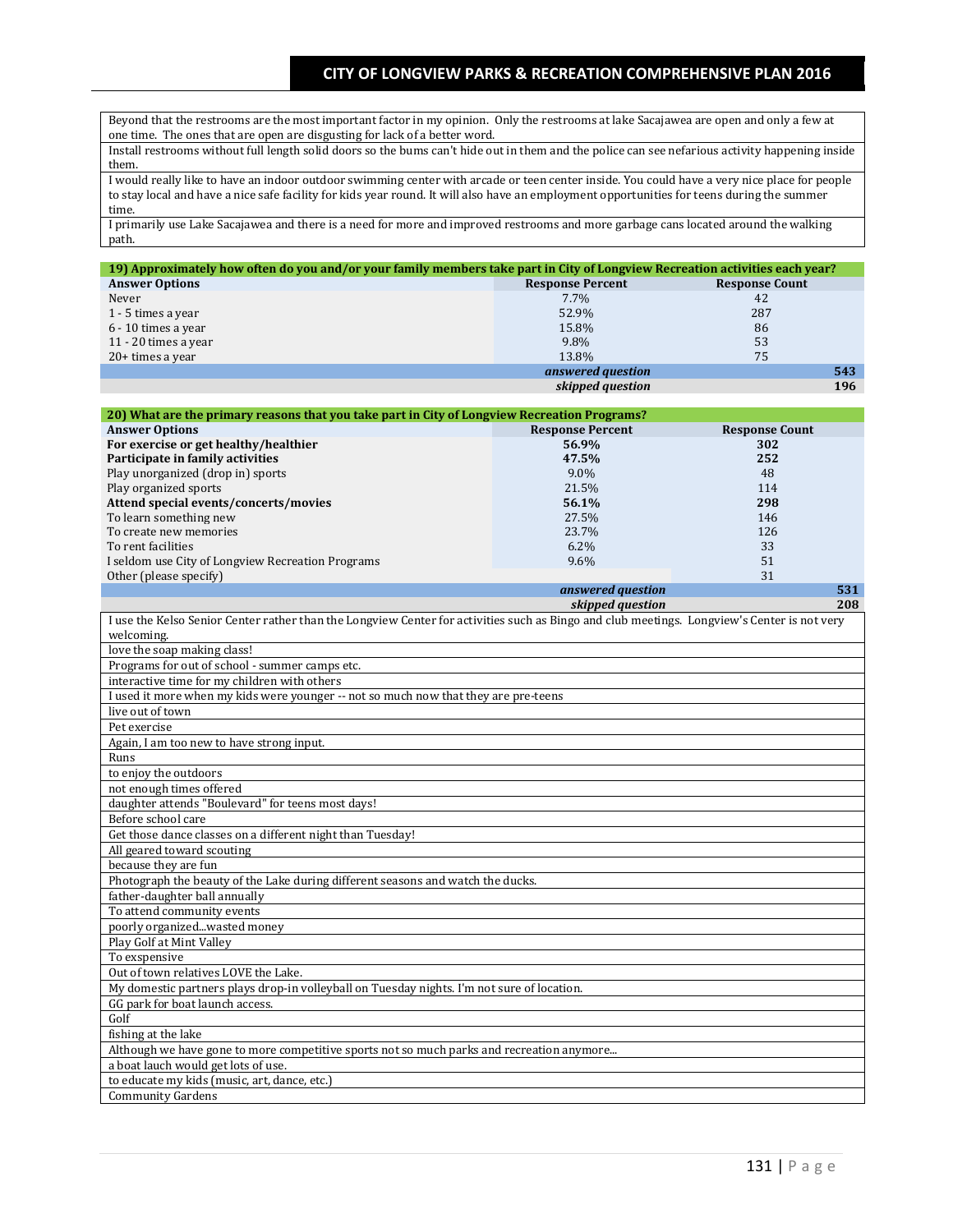Beyond that the restrooms are the most important factor in my opinion. Only the restrooms at lake Sacajawea are open and only a few at one time. The ones that are open are disgusting for lack of a better word.

Install restrooms without full length solid doors so the bums can't hide out in them and the police can see nefarious activity happening inside them.

I would really like to have an indoor outdoor swimming center with arcade or teen center inside. You could have a very nice place for people to stay local and have a nice safe facility for kids year round. It will also have an employment opportunities for teens during the summer time.

I primarily use Lake Sacajawea and there is a need for more and improved restrooms and more garbage cans located around the walking path.

| 19) Approximately how often do you and/or your family members take part in City of Longview Recreation activities each year? |                         |                       |
|------------------------------------------------------------------------------------------------------------------------------|-------------------------|-----------------------|
| <b>Answer Options</b>                                                                                                        | <b>Response Percent</b> | <b>Response Count</b> |
| Never                                                                                                                        | $7.7\%$                 | 42                    |
| 1 - 5 times a year                                                                                                           | 52.9%                   | 287                   |
| 6 - 10 times a year                                                                                                          | 15.8%                   | 86                    |
| 11 - 20 times a year                                                                                                         | 9.8%                    | 53                    |
| 20+ times a year                                                                                                             | 13.8%                   | 75                    |
|                                                                                                                              | answered question       | 543                   |
|                                                                                                                              | skipped question        | 196                   |

| 20) What are the primary reasons that you take part in City of Longview Recreation Programs?                                                |                         |                       |
|---------------------------------------------------------------------------------------------------------------------------------------------|-------------------------|-----------------------|
| <b>Answer Options</b>                                                                                                                       | <b>Response Percent</b> | <b>Response Count</b> |
| For exercise or get healthy/healthier                                                                                                       | 56.9%                   | 302                   |
| Participate in family activities                                                                                                            | 47.5%                   | 252                   |
| Play unorganized (drop in) sports                                                                                                           | 9.0%                    | 48                    |
| Play organized sports                                                                                                                       | 21.5%                   | 114                   |
| Attend special events/concerts/movies                                                                                                       | 56.1%                   | 298                   |
| To learn something new                                                                                                                      | 27.5%                   | 146                   |
| To create new memories                                                                                                                      | 23.7%                   | 126                   |
| To rent facilities                                                                                                                          | $6.2\%$                 | 33                    |
| I seldom use City of Longview Recreation Programs                                                                                           | 9.6%                    | 51                    |
| Other (please specify)                                                                                                                      |                         | 31                    |
|                                                                                                                                             | answered question       | 531                   |
|                                                                                                                                             | skipped question        | 208                   |
| I use the Kelso Senior Center rather than the Longview Center for activities such as Bingo and club meetings. Longview's Center is not very |                         |                       |
| welcoming.                                                                                                                                  |                         |                       |
| love the soap making class!<br>Programs for out of school - summer camps etc.                                                               |                         |                       |
| interactive time for my children with others                                                                                                |                         |                       |
| I used it more when my kids were younger -- not so much now that they are pre-teens                                                         |                         |                       |
| live out of town                                                                                                                            |                         |                       |
| Pet exercise                                                                                                                                |                         |                       |
| Again, I am too new to have strong input.                                                                                                   |                         |                       |
| Runs                                                                                                                                        |                         |                       |
| to enjoy the outdoors                                                                                                                       |                         |                       |
| not enough times offered                                                                                                                    |                         |                       |
| daughter attends "Boulevard" for teens most days!                                                                                           |                         |                       |
| Before school care                                                                                                                          |                         |                       |
| Get those dance classes on a different night than Tuesday!<br>All geared toward scouting                                                    |                         |                       |
| because they are fun                                                                                                                        |                         |                       |
| Photograph the beauty of the Lake during different seasons and watch the ducks.                                                             |                         |                       |
| father-daughter ball annually                                                                                                               |                         |                       |
| To attend community events                                                                                                                  |                         |                       |
| poorly organizedwasted money                                                                                                                |                         |                       |
| Play Golf at Mint Valley                                                                                                                    |                         |                       |
| To exspensive                                                                                                                               |                         |                       |
| Out of town relatives LOVE the Lake.                                                                                                        |                         |                       |
| My domestic partners plays drop-in volleyball on Tuesday nights. I'm not sure of location.                                                  |                         |                       |
| GG park for boat launch access.                                                                                                             |                         |                       |
| Golf                                                                                                                                        |                         |                       |
| fishing at the lake                                                                                                                         |                         |                       |
| Although we have gone to more competitive sports not so much parks and recreation anymore                                                   |                         |                       |
| a boat lauch would get lots of use.                                                                                                         |                         |                       |
| to educate my kids (music, art, dance, etc.)<br><b>Community Gardens</b>                                                                    |                         |                       |
|                                                                                                                                             |                         |                       |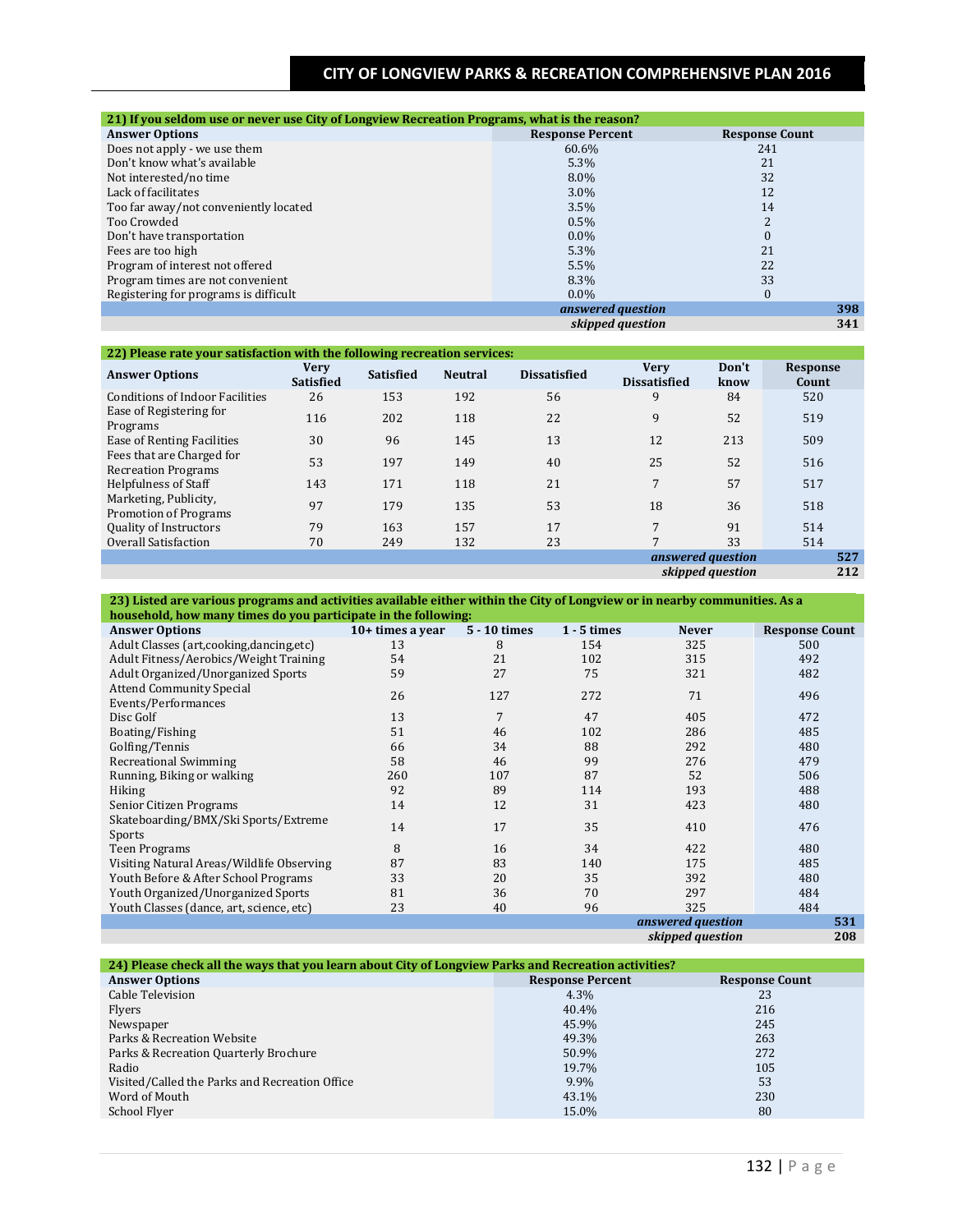| 21) If you seldom use or never use City of Longview Recreation Programs, what is the reason? |                         |                       |
|----------------------------------------------------------------------------------------------|-------------------------|-----------------------|
| <b>Answer Options</b>                                                                        | <b>Response Percent</b> | <b>Response Count</b> |
| Does not apply - we use them                                                                 | 60.6%                   | 241                   |
| Don't know what's available                                                                  | 5.3%                    | 21                    |
| Not interested/no time                                                                       | $8.0\%$                 | 32                    |
| Lack of facilitates                                                                          | $3.0\%$                 | 12                    |
| Too far away/not conveniently located                                                        | 3.5%                    | 14                    |
| Too Crowded                                                                                  | 0.5%                    | <sup>n</sup>          |
| Don't have transportation                                                                    | $0.0\%$                 | 0                     |
| Fees are too high                                                                            | 5.3%                    | 21                    |
| Program of interest not offered                                                              | 5.5%                    | 22                    |
| Program times are not convenient                                                             | 8.3%                    | 33                    |
| Registering for programs is difficult                                                        | $0.0\%$                 | 0                     |
|                                                                                              | answered question       | 398                   |
|                                                                                              | skipped question        | 341                   |

#### **22) Please rate your satisfaction with the following recreation services:**

| <b>Answer Options</b>                                   | <b>Very</b><br><b>Satisfied</b> | <b>Satisfied</b> | <b>Neutral</b> | <b>Dissatisfied</b> | <b>Verv</b><br><b>Dissatisfied</b> | Don't<br>know    | <b>Response</b><br>Count |
|---------------------------------------------------------|---------------------------------|------------------|----------------|---------------------|------------------------------------|------------------|--------------------------|
| <b>Conditions of Indoor Facilities</b>                  | 26                              | 153              | 192            | 56                  | 9                                  | 84               | 520                      |
| Ease of Registering for<br>Programs                     | 116                             | 202              | 118            | 22                  | 9                                  | 52               | 519                      |
| Ease of Renting Facilities                              | 30                              | 96               | 145            | 13                  | 12                                 | 213              | 509                      |
| Fees that are Charged for<br><b>Recreation Programs</b> | 53                              | 197              | 149            | 40                  | 25                                 | 52               | 516                      |
| Helpfulness of Staff                                    | 143                             | 171              | 118            | 21                  | $\overline{7}$                     | 57               | 517                      |
| Marketing, Publicity,<br><b>Promotion of Programs</b>   | 97                              | 179              | 135            | 53                  | 18                                 | 36               | 518                      |
| Quality of Instructors                                  | 79                              | 163              | 157            | 17                  | 7                                  | 91               | 514                      |
| Overall Satisfaction                                    | 70                              | 249              | 132            | 23                  | 7                                  | 33               | 514                      |
|                                                         |                                 |                  |                |                     | answered question                  |                  | 527                      |
|                                                         |                                 |                  |                |                     |                                    | skipped question | 212                      |

**23) Listed are various programs and activities available either within the City of Longview or in nearby communities. As a** 

| household, how many times do you participate in the following: |                    |              |               |                   |                       |
|----------------------------------------------------------------|--------------------|--------------|---------------|-------------------|-----------------------|
| <b>Answer Options</b>                                          | $10+$ times a year | 5 - 10 times | $1 - 5$ times | <b>Never</b>      | <b>Response Count</b> |
| Adult Classes (art,cooking,dancing,etc)                        | 13                 | 8            | 154           | 325               | 500                   |
| Adult Fitness/Aerobics/Weight Training                         | 54                 | 21           | 102           | 315               | 492                   |
| Adult Organized/Unorganized Sports                             | 59                 | 27           | 75            | 321               | 482                   |
| <b>Attend Community Special</b>                                | 26                 | 127          | 272           | 71                | 496                   |
| Events/Performances                                            |                    |              |               |                   |                       |
| Disc Golf                                                      | 13                 | 7            | 47            | 405               | 472                   |
| Boating/Fishing                                                | 51                 | 46           | 102           | 286               | 485                   |
| Golfing/Tennis                                                 | 66                 | 34           | 88            | 292               | 480                   |
| <b>Recreational Swimming</b>                                   | 58                 | 46           | 99            | 276               | 479                   |
| Running, Biking or walking                                     | 260                | 107          | 87            | 52                | 506                   |
| <b>Hiking</b>                                                  | 92                 | 89           | 114           | 193               | 488                   |
| Senior Citizen Programs                                        | 14                 | 12           | 31            | 423               | 480                   |
| Skateboarding/BMX/Ski Sports/Extreme                           | 14                 | 17           | 35            | 410               | 476                   |
| Sports                                                         |                    |              |               |                   |                       |
| <b>Teen Programs</b>                                           | 8                  | 16           | 34            | 422               | 480                   |
| Visiting Natural Areas/Wildlife Observing                      | 87                 | 83           | 140           | 175               | 485                   |
| Youth Before & After School Programs                           | 33                 | 20           | 35            | 392               | 480                   |
| Youth Organized/Unorganized Sports                             | 81                 | 36           | 70            | 297               | 484                   |
| Youth Classes (dance, art, science, etc)                       | 23                 | 40           | 96            | 325               | 484                   |
|                                                                |                    |              |               | answered question | 531                   |
|                                                                |                    |              |               | skipped question  | 208                   |

| 24) Please check all the ways that you learn about City of Longview Parks and Recreation activities? |                         |                       |
|------------------------------------------------------------------------------------------------------|-------------------------|-----------------------|
| <b>Answer Options</b>                                                                                | <b>Response Percent</b> | <b>Response Count</b> |
| Cable Television                                                                                     | $4.3\%$                 | 23                    |
| Flyers                                                                                               | 40.4%                   | 216                   |
| Newspaper                                                                                            | 45.9%                   | 245                   |
| Parks & Recreation Website                                                                           | 49.3%                   | 263                   |
| Parks & Recreation Quarterly Brochure                                                                | 50.9%                   | 272                   |
| Radio                                                                                                | 19.7%                   | 105                   |
| Visited/Called the Parks and Recreation Office                                                       | 9.9%                    | 53                    |
| Word of Mouth                                                                                        | 43.1%                   | 230                   |
| School Flyer                                                                                         | 15.0%                   | 80                    |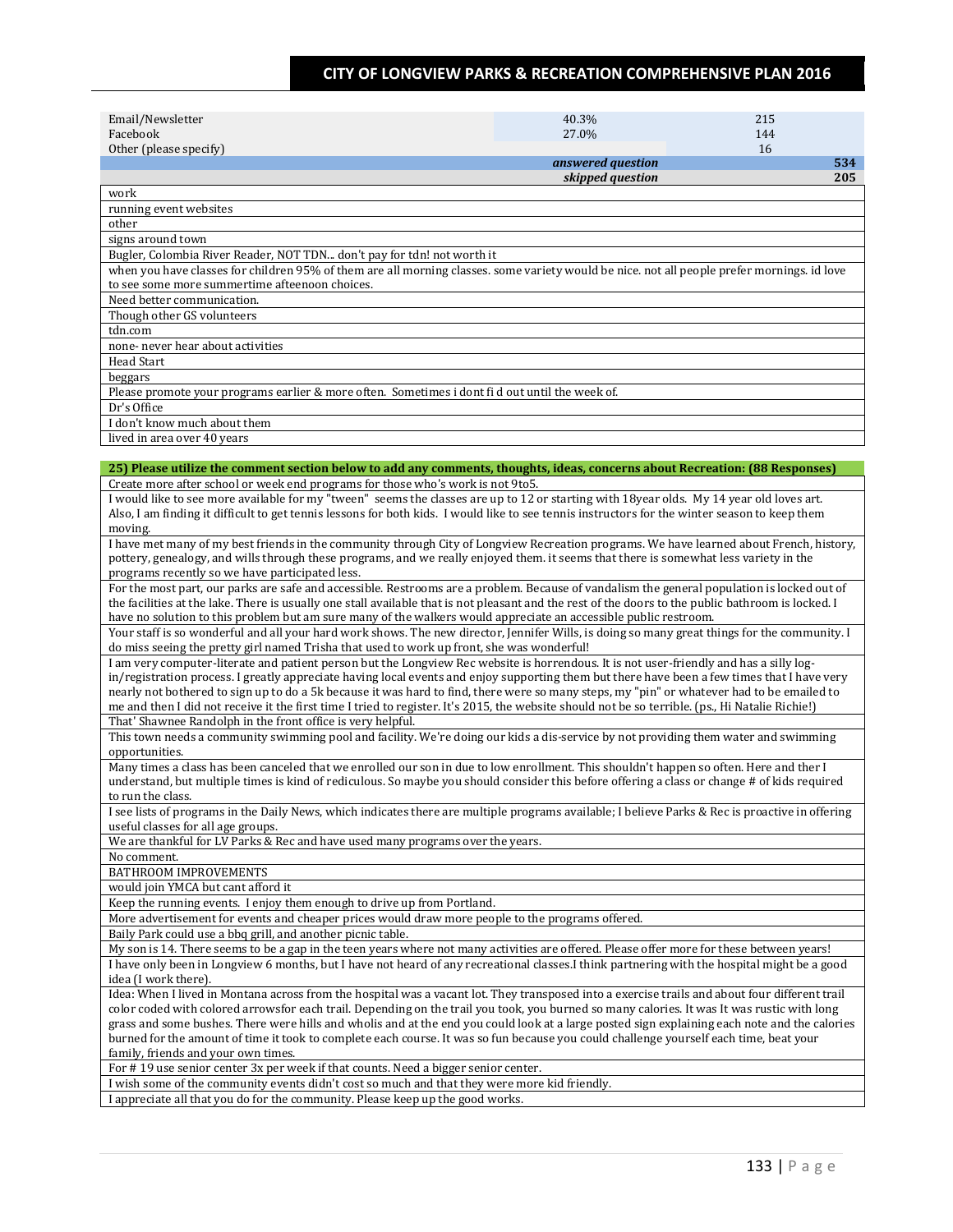| Email/Newsletter                                                                                                                                                                                                                                                  | 40.3%             | 215       |
|-------------------------------------------------------------------------------------------------------------------------------------------------------------------------------------------------------------------------------------------------------------------|-------------------|-----------|
| Facebook                                                                                                                                                                                                                                                          | 27.0%             | 144       |
| Other (please specify)                                                                                                                                                                                                                                            | answered question | 16<br>534 |
|                                                                                                                                                                                                                                                                   | skipped question  | 205       |
| work                                                                                                                                                                                                                                                              |                   |           |
| running event websites                                                                                                                                                                                                                                            |                   |           |
| other                                                                                                                                                                                                                                                             |                   |           |
| signs around town<br>Bugler, Colombia River Reader, NOT TDN don't pay for tdn! not worth it                                                                                                                                                                       |                   |           |
| when you have classes for children 95% of them are all morning classes. some variety would be nice. not all people prefer mornings. id love                                                                                                                       |                   |           |
| to see some more summertime afteenoon choices.                                                                                                                                                                                                                    |                   |           |
| Need better communication.                                                                                                                                                                                                                                        |                   |           |
| Though other GS volunteers                                                                                                                                                                                                                                        |                   |           |
| tdn.com                                                                                                                                                                                                                                                           |                   |           |
| none- never hear about activities                                                                                                                                                                                                                                 |                   |           |
| Head Start                                                                                                                                                                                                                                                        |                   |           |
| beggars<br>Please promote your programs earlier & more often. Sometimes i dont fi d out until the week of.                                                                                                                                                        |                   |           |
| Dr's Office                                                                                                                                                                                                                                                       |                   |           |
| I don't know much about them                                                                                                                                                                                                                                      |                   |           |
| lived in area over 40 years                                                                                                                                                                                                                                       |                   |           |
|                                                                                                                                                                                                                                                                   |                   |           |
| 25) Please utilize the comment section below to add any comments, thoughts, ideas, concerns about Recreation: (88 Responses)                                                                                                                                      |                   |           |
| Create more after school or week end programs for those who's work is not 9to5.                                                                                                                                                                                   |                   |           |
| I would like to see more available for my "tween" seems the classes are up to 12 or starting with 18year olds. My 14 year old loves art.                                                                                                                          |                   |           |
| Also, I am finding it difficult to get tennis lessons for both kids. I would like to see tennis instructors for the winter season to keep them<br>moving.                                                                                                         |                   |           |
| I have met many of my best friends in the community through City of Longview Recreation programs. We have learned about French, history,                                                                                                                          |                   |           |
| pottery, genealogy, and wills through these programs, and we really enjoyed them. it seems that there is somewhat less variety in the                                                                                                                             |                   |           |
| programs recently so we have participated less.                                                                                                                                                                                                                   |                   |           |
| For the most part, our parks are safe and accessible. Restrooms are a problem. Because of vandalism the general population is locked out of                                                                                                                       |                   |           |
| the facilities at the lake. There is usually one stall available that is not pleasant and the rest of the doors to the public bathroom is locked. I                                                                                                               |                   |           |
| have no solution to this problem but am sure many of the walkers would appreciate an accessible public restroom.<br>Your staff is so wonderful and all your hard work shows. The new director, Jennifer Wills, is doing so many great things for the community. I |                   |           |
| do miss seeing the pretty girl named Trisha that used to work up front, she was wonderful!                                                                                                                                                                        |                   |           |
| I am very computer-literate and patient person but the Longview Rec website is horrendous. It is not user-friendly and has a silly log-                                                                                                                           |                   |           |
| in/registration process. I greatly appreciate having local events and enjoy supporting them but there have been a few times that I have very                                                                                                                      |                   |           |
| nearly not bothered to sign up to do a 5k because it was hard to find, there were so many steps, my "pin" or whatever had to be emailed to                                                                                                                        |                   |           |
| me and then I did not receive it the first time I tried to register. It's 2015, the website should not be so terrible. (ps., Hi Natalie Richie!)<br>That' Shawnee Randolph in the front office is very helpful.                                                   |                   |           |
| This town needs a community swimming pool and facility. We're doing our kids a dis-service by not providing them water and swimming                                                                                                                               |                   |           |
| opportunities.                                                                                                                                                                                                                                                    |                   |           |
| Many times a class has been canceled that we enrolled our son in due to low enrollment. This shouldn't happen so often. Here and ther I                                                                                                                           |                   |           |
| understand, but multiple times is kind of rediculous. So maybe you should consider this before offering a class or change # of kids required                                                                                                                      |                   |           |
| to run the class.                                                                                                                                                                                                                                                 |                   |           |
| I see lists of programs in the Daily News, which indicates there are multiple programs available; I believe Parks & Rec is proactive in offering                                                                                                                  |                   |           |
| useful classes for all age groups.<br>We are thankful for LV Parks & Rec and have used many programs over the years.                                                                                                                                              |                   |           |
| No comment.                                                                                                                                                                                                                                                       |                   |           |
| BATHROOM IMPROVEMENTS                                                                                                                                                                                                                                             |                   |           |
| would join YMCA but cant afford it                                                                                                                                                                                                                                |                   |           |
| Keep the running events. I enjoy them enough to drive up from Portland.                                                                                                                                                                                           |                   |           |
| More advertisement for events and cheaper prices would draw more people to the programs offered.                                                                                                                                                                  |                   |           |
| Baily Park could use a bbq grill, and another picnic table.                                                                                                                                                                                                       |                   |           |
| My son is 14. There seems to be a gap in the teen years where not many activities are offered. Please offer more for these between years!                                                                                                                         |                   |           |
| I have only been in Longview 6 months, but I have not heard of any recreational classes. I think partnering with the hospital might be a good<br>idea (I work there).                                                                                             |                   |           |
| Idea: When I lived in Montana across from the hospital was a vacant lot. They transposed into a exercise trails and about four different trail                                                                                                                    |                   |           |
| color coded with colored arrowsfor each trail. Depending on the trail you took, you burned so many calories. It was It was rustic with long                                                                                                                       |                   |           |
| grass and some bushes. There were hills and wholis and at the end you could look at a large posted sign explaining each note and the calories                                                                                                                     |                   |           |
| burned for the amount of time it took to complete each course. It was so fun because you could challenge yourself each time, beat your                                                                                                                            |                   |           |
| family, friends and your own times.                                                                                                                                                                                                                               |                   |           |
| For #19 use senior center 3x per week if that counts. Need a bigger senior center.<br>I wish some of the community events didn't cost so much and that they were more kid friendly.                                                                               |                   |           |
| I appreciate all that you do for the community. Please keep up the good works.                                                                                                                                                                                    |                   |           |
|                                                                                                                                                                                                                                                                   |                   |           |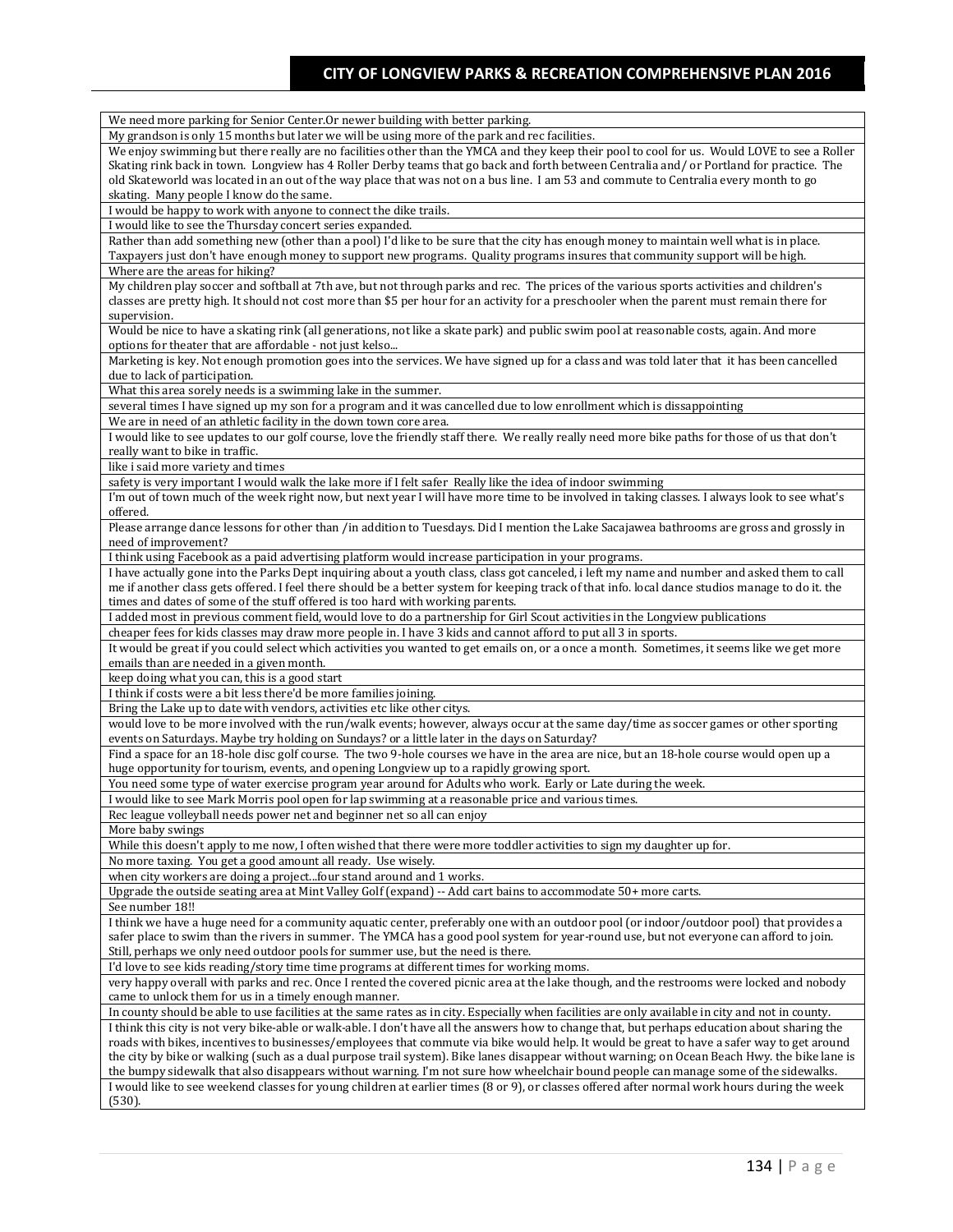| We need more parking for Senior Center. Or newer building with better parking.                                                                                                                                              |
|-----------------------------------------------------------------------------------------------------------------------------------------------------------------------------------------------------------------------------|
| My grandson is only 15 months but later we will be using more of the park and rec facilities.                                                                                                                               |
| We enjoy swimming but there really are no facilities other than the YMCA and they keep their pool to cool for us. Would LOVE to see a Roller                                                                                |
| Skating rink back in town. Longview has 4 Roller Derby teams that go back and forth between Centralia and/or Portland for practice. The                                                                                     |
| old Skateworld was located in an out of the way place that was not on a bus line. I am 53 and commute to Centralia every month to go                                                                                        |
| skating. Many people I know do the same.                                                                                                                                                                                    |
| I would be happy to work with anyone to connect the dike trails.                                                                                                                                                            |
| I would like to see the Thursday concert series expanded.                                                                                                                                                                   |
| Rather than add something new (other than a pool) I'd like to be sure that the city has enough money to maintain well what is in place.                                                                                     |
| Taxpayers just don't have enough money to support new programs. Quality programs insures that community support will be high.                                                                                               |
| Where are the areas for hiking?                                                                                                                                                                                             |
| My children play soccer and softball at 7th ave, but not through parks and rec. The prices of the various sports activities and children's                                                                                  |
|                                                                                                                                                                                                                             |
| classes are pretty high. It should not cost more than \$5 per hour for an activity for a preschooler when the parent must remain there for                                                                                  |
| supervision.                                                                                                                                                                                                                |
| Would be nice to have a skating rink (all generations, not like a skate park) and public swim pool at reasonable costs, again. And more                                                                                     |
| options for theater that are affordable - not just kelso                                                                                                                                                                    |
| Marketing is key. Not enough promotion goes into the services. We have signed up for a class and was told later that it has been cancelled                                                                                  |
| due to lack of participation.                                                                                                                                                                                               |
| What this area sorely needs is a swimming lake in the summer.                                                                                                                                                               |
| several times I have signed up my son for a program and it was cancelled due to low enrollment which is dissappointing                                                                                                      |
| We are in need of an athletic facility in the down town core area.                                                                                                                                                          |
| I would like to see updates to our golf course, love the friendly staff there. We really really need more bike paths for those of us that don't                                                                             |
| really want to bike in traffic.                                                                                                                                                                                             |
| like i said more variety and times                                                                                                                                                                                          |
| safety is very important I would walk the lake more if I felt safer Really like the idea of indoor swimming                                                                                                                 |
| I'm out of town much of the week right now, but next year I will have more time to be involved in taking classes. I always look to see what's                                                                               |
| offered.                                                                                                                                                                                                                    |
| Please arrange dance lessons for other than /in addition to Tuesdays. Did I mention the Lake Sacajawea bathrooms are gross and grossly in                                                                                   |
| need of improvement?                                                                                                                                                                                                        |
|                                                                                                                                                                                                                             |
| I think using Facebook as a paid advertising platform would increase participation in your programs.                                                                                                                        |
| I have actually gone into the Parks Dept inquiring about a youth class, class got canceled, i left my name and number and asked them to call                                                                                |
| me if another class gets offered. I feel there should be a better system for keeping track of that info. local dance studios manage to do it. the                                                                           |
| times and dates of some of the stuff offered is too hard with working parents.                                                                                                                                              |
| I added most in previous comment field, would love to do a partnership for Girl Scout activities in the Longview publications                                                                                               |
| cheaper fees for kids classes may draw more people in. I have 3 kids and cannot afford to put all 3 in sports.                                                                                                              |
| It would be great if you could select which activities you wanted to get emails on, or a once a month. Sometimes, it seems like we get more                                                                                 |
| emails than are needed in a given month.                                                                                                                                                                                    |
| keep doing what you can, this is a good start                                                                                                                                                                               |
| I think if costs were a bit less there'd be more families joining.                                                                                                                                                          |
| Bring the Lake up to date with vendors, activities etc like other citys.                                                                                                                                                    |
| would love to be more involved with the run/walk events; however, always occur at the same day/time as soccer games or other sporting                                                                                       |
| events on Saturdays. Maybe try holding on Sundays? or a little later in the days on Saturday?                                                                                                                               |
| Find a space for an 18-hole disc golf course. The two 9-hole courses we have in the area are nice, but an 18-hole course would open up a                                                                                    |
| huge opportunity for tourism, events, and opening Longview up to a rapidly growing sport.                                                                                                                                   |
| You need some type of water exercise program year around for Adults who work. Early or Late during the week.                                                                                                                |
|                                                                                                                                                                                                                             |
|                                                                                                                                                                                                                             |
| I would like to see Mark Morris pool open for lap swimming at a reasonable price and various times.                                                                                                                         |
| Rec league volleyball needs power net and beginner net so all can enjoy                                                                                                                                                     |
| More baby swings                                                                                                                                                                                                            |
| While this doesn't apply to me now, I often wished that there were more toddler activities to sign my daughter up for.                                                                                                      |
| No more taxing. You get a good amount all ready. Use wisely.                                                                                                                                                                |
| when city workers are doing a projectfour stand around and 1 works.                                                                                                                                                         |
| Upgrade the outside seating area at Mint Valley Golf (expand) -- Add cart bains to accommodate 50+ more carts.                                                                                                              |
| See number 18!!                                                                                                                                                                                                             |
|                                                                                                                                                                                                                             |
| I think we have a huge need for a community aquatic center, preferably one with an outdoor pool (or indoor/outdoor pool) that provides a                                                                                    |
| safer place to swim than the rivers in summer. The YMCA has a good pool system for year-round use, but not everyone can afford to join.<br>Still, perhaps we only need outdoor pools for summer use, but the need is there. |
|                                                                                                                                                                                                                             |
| I'd love to see kids reading/story time time programs at different times for working moms.                                                                                                                                  |
| very happy overall with parks and rec. Once I rented the covered picnic area at the lake though, and the restrooms were locked and nobody                                                                                   |
| came to unlock them for us in a timely enough manner.                                                                                                                                                                       |
| In county should be able to use facilities at the same rates as in city. Especially when facilities are only available in city and not in county.                                                                           |
| I think this city is not very bike-able or walk-able. I don't have all the answers how to change that, but perhaps education about sharing the                                                                              |
| roads with bikes, incentives to businesses/employees that commute via bike would help. It would be great to have a safer way to get around                                                                                  |
| the city by bike or walking (such as a dual purpose trail system). Bike lanes disappear without warning; on Ocean Beach Hwy. the bike lane is                                                                               |
| the bumpy sidewalk that also disappears without warning. I'm not sure how wheelchair bound people can manage some of the sidewalks.                                                                                         |
| I would like to see weekend classes for young children at earlier times (8 or 9), or classes offered after normal work hours during the week<br>(530).                                                                      |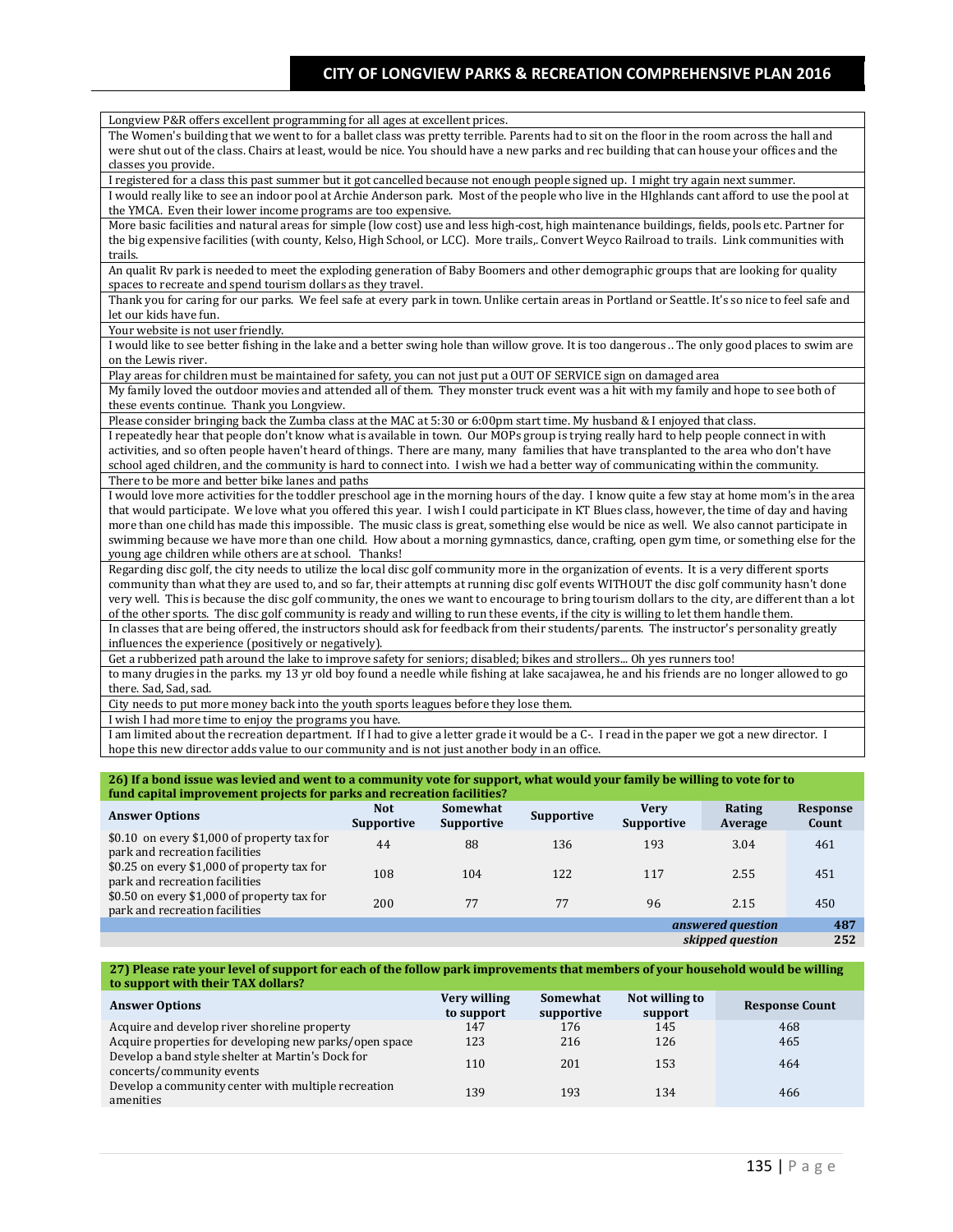| Longview P&R offers excellent programming for all ages at excellent prices.                                                                        |
|----------------------------------------------------------------------------------------------------------------------------------------------------|
| The Women's building that we went to for a ballet class was pretty terrible. Parents had to sit on the floor in the room across the hall and       |
| were shut out of the class. Chairs at least, would be nice. You should have a new parks and rec building that can house your offices and the       |
| classes you provide.                                                                                                                               |
| I registered for a class this past summer but it got cancelled because not enough people signed up. I might try again next summer.                 |
| I would really like to see an indoor pool at Archie Anderson park. Most of the people who live in the HIghlands cant afford to use the pool at     |
| the YMCA. Even their lower income programs are too expensive.                                                                                      |
| More basic facilities and natural areas for simple (low cost) use and less high-cost, high maintenance buildings, fields, pools etc. Partner for   |
| the big expensive facilities (with county, Kelso, High School, or LCC). More trails,. Convert Weyco Railroad to trails. Link communities with      |
| trails.                                                                                                                                            |
| An qualit Ry park is needed to meet the exploding generation of Baby Boomers and other demographic groups that are looking for quality             |
| spaces to recreate and spend tourism dollars as they travel.                                                                                       |
| Thank you for caring for our parks. We feel safe at every park in town. Unlike certain areas in Portland or Seattle. It's so nice to feel safe and |
| let our kids have fun.                                                                                                                             |
| Your website is not user friendly.                                                                                                                 |
| I would like to see better fishing in the lake and a better swing hole than willow grove. It is too dangerous  The only good places to swim are    |
| on the Lewis river.                                                                                                                                |
| Play areas for children must be maintained for safety, you can not just put a OUT OF SERVICE sign on damaged area                                  |
| My family loved the outdoor movies and attended all of them. They monster truck event was a hit with my family and hope to see both of             |
| these events continue. Thank you Longview.                                                                                                         |
| Please consider bringing back the Zumba class at the MAC at 5:30 or 6:00pm start time. My husband & I enjoyed that class.                          |
| I repeatedly hear that people don't know what is available in town. Our MOPs group is trying really hard to help people connect in with            |
| activities, and so often people haven't heard of things. There are many, many families that have transplanted to the area who don't have           |
| school aged children, and the community is hard to connect into. I wish we had a better way of communicating within the community.                 |
| There to be more and better bike lanes and paths                                                                                                   |
| I would love more activities for the toddler preschool age in the morning hours of the day. I know quite a few stay at home mom's in the area      |
| that would participate. We love what you offered this year. I wish I could participate in KT Blues class, however, the time of day and having      |
| more than one child has made this impossible. The music class is great, something else would be nice as well. We also cannot participate in        |
| swimming because we have more than one child. How about a morning gymnastics, dance, crafting, open gym time, or something else for the            |
| young age children while others are at school. Thanks!                                                                                             |
| Regarding disc golf, the city needs to utilize the local disc golf community more in the organization of events. It is a very different sports     |
| community than what they are used to, and so far, their attempts at running disc golf events WITHOUT the disc golf community hasn't done           |
| very well. This is because the disc golf community, the ones we want to encourage to bring tourism dollars to the city, are different than a lot   |
| of the other sports. The disc golf community is ready and willing to run these events, if the city is willing to let them handle them.             |
| In classes that are being offered, the instructors should ask for feedback from their students/parents. The instructor's personality greatly       |
| influences the experience (positively or negatively).                                                                                              |
| Get a rubberized path around the lake to improve safety for seniors; disabled; bikes and strollers Oh yes runners too!                             |
| to many drugies in the parks. my 13 yr old boy found a needle while fishing at lake sacajawea, he and his friends are no longer allowed to go      |
| there. Sad, Sad, sad.                                                                                                                              |
| City needs to put more money back into the youth sports leagues before they lose them.                                                             |
| I wish I had more time to enjoy the programs you have.                                                                                             |
| I am limited about the recreation department. If I had to give a letter grade it would be a C-. I read in the paper we got a new director. I       |
| hope this new director adds value to our community and is not just another body in an office.                                                      |
|                                                                                                                                                    |

| 26) If a bond issue was levied and went to a community vote for support, what would your family be willing to vote for to<br>fund capital improvement projects for parks and recreation facilities? |                                 |                               |                   |                                  |                   |                          |  |  |
|-----------------------------------------------------------------------------------------------------------------------------------------------------------------------------------------------------|---------------------------------|-------------------------------|-------------------|----------------------------------|-------------------|--------------------------|--|--|
| <b>Answer Options</b>                                                                                                                                                                               | <b>Not</b><br><b>Supportive</b> | Somewhat<br><b>Supportive</b> | <b>Supportive</b> | <b>Verv</b><br><b>Supportive</b> | Rating<br>Average | <b>Response</b><br>Count |  |  |
| \$0.10 on every \$1,000 of property tax for<br>park and recreation facilities                                                                                                                       | 44                              | 88                            | 136               | 193                              | 3.04              | 461                      |  |  |
| \$0.25 on every \$1,000 of property tax for<br>park and recreation facilities                                                                                                                       | 108                             | 104                           | 122               | 117                              | 2.55              | 451                      |  |  |
| \$0.50 on every \$1,000 of property tax for<br>park and recreation facilities                                                                                                                       | 200                             | 77                            | 77                | 96                               | 2.15              | 450                      |  |  |
|                                                                                                                                                                                                     |                                 |                               |                   |                                  | answered question | 487                      |  |  |
|                                                                                                                                                                                                     |                                 |                               |                   |                                  | skipped question  | 252                      |  |  |

#### **27) Please rate your level of support for each of the follow park improvements that members of your household would be willing to support with their TAX dollars?**

| <b>Answer Options</b>                                                          | Very willing<br>to support | Somewhat<br>supportive | Not willing to<br>support | <b>Response Count</b> |
|--------------------------------------------------------------------------------|----------------------------|------------------------|---------------------------|-----------------------|
| Acquire and develop river shoreline property                                   | 147                        | 176                    | 145                       | 468                   |
| Acquire properties for developing new parks/open space                         | 123                        | 216                    | 126                       | 465                   |
| Develop a band style shelter at Martin's Dock for<br>concerts/community events | 110                        | 201                    | 153                       | 464                   |
| Develop a community center with multiple recreation<br>amenities               | 139                        | 193                    | 134                       | 466                   |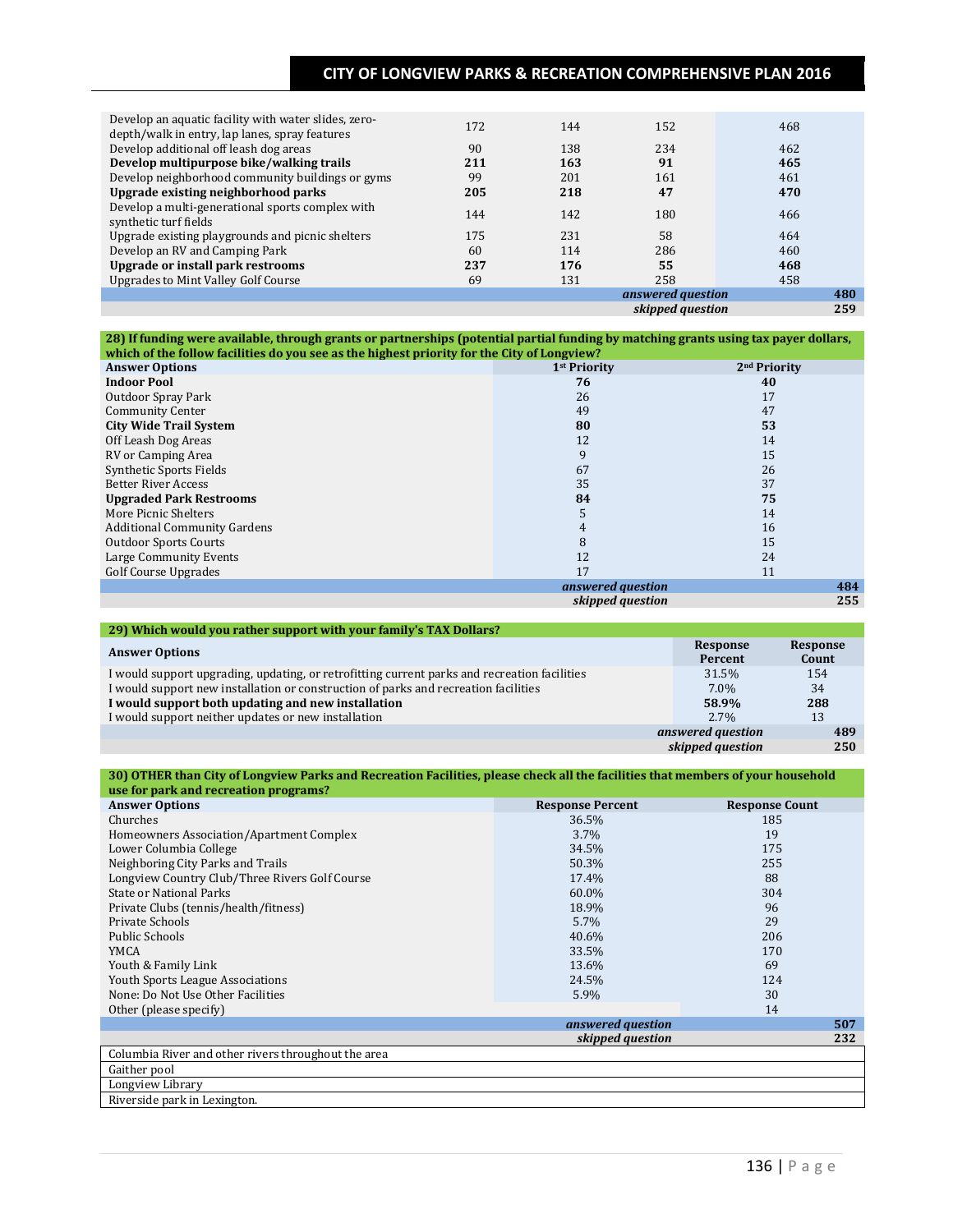| Develop an aquatic facility with water slides, zero-<br>depth/walk in entry, lap lanes, spray features | 172 | 144 | 152               | 468 |     |
|--------------------------------------------------------------------------------------------------------|-----|-----|-------------------|-----|-----|
| Develop additional off leash dog areas                                                                 | 90  | 138 | 234               | 462 |     |
| Develop multipurpose bike/walking trails                                                               | 211 | 163 | 91                | 465 |     |
| Develop neighborhood community buildings or gyms                                                       | 99  | 201 | 161               | 461 |     |
| Upgrade existing neighborhood parks                                                                    | 205 | 218 | 47                | 470 |     |
| Develop a multi-generational sports complex with<br>synthetic turf fields                              | 144 | 142 | 180               | 466 |     |
| Upgrade existing playgrounds and picnic shelters                                                       | 175 | 231 | 58                | 464 |     |
| Develop an RV and Camping Park                                                                         | 60  | 114 | 286               | 460 |     |
| <b>Upgrade or install park restrooms</b>                                                               | 237 | 176 | 55                | 468 |     |
| <b>Upgrades to Mint Valley Golf Course</b>                                                             | 69  | 131 | 258               | 458 |     |
|                                                                                                        |     |     | answered question |     | 480 |
|                                                                                                        |     |     | skipped question  |     | 259 |

**28) If funding were available, through grants or partnerships (potential partial funding by matching grants using tax payer dollars, which of the follow facilities do you see as the highest priority for the City of Longview?**

| <b>Answer Options</b>               | 1 <sup>st</sup> Priority | 2 <sup>nd</sup> Priority |
|-------------------------------------|--------------------------|--------------------------|
| <b>Indoor Pool</b>                  | 76                       | 40                       |
| Outdoor Spray Park                  | 26                       | 17                       |
| <b>Community Center</b>             | 49                       | 47                       |
| <b>City Wide Trail System</b>       | 80                       | 53                       |
| Off Leash Dog Areas                 | 12                       | 14                       |
| RV or Camping Area                  | 9                        | 15                       |
| Synthetic Sports Fields             | 67                       | 26                       |
| <b>Better River Access</b>          | 35                       | 37                       |
| <b>Upgraded Park Restrooms</b>      | 84                       | 75                       |
| More Picnic Shelters                |                          | 14                       |
| <b>Additional Community Gardens</b> | 4                        | 16                       |
| <b>Outdoor Sports Courts</b>        | 8                        | 15                       |
| Large Community Events              | 12                       | 24                       |
| <b>Golf Course Upgrades</b>         | 17                       | 11                       |
|                                     | answered question        | 484                      |
|                                     | skipped question         | 255                      |

| 29) Which would you rather support with your family's TAX Dollars?                           |                     |                   |  |  |  |  |  |  |
|----------------------------------------------------------------------------------------------|---------------------|-------------------|--|--|--|--|--|--|
| <b>Answer Options</b>                                                                        | Response<br>Percent | Response<br>Count |  |  |  |  |  |  |
| I would support upgrading, updating, or retrofitting current parks and recreation facilities | 31.5%               | 154               |  |  |  |  |  |  |
| I would support new installation or construction of parks and recreation facilities          | $7.0\%$             | 34                |  |  |  |  |  |  |
| I would support both updating and new installation                                           | 58.9%               | 288               |  |  |  |  |  |  |
| I would support neither updates or new installation                                          | $2.7\%$             | 13                |  |  |  |  |  |  |
|                                                                                              | answered question   | 489               |  |  |  |  |  |  |
|                                                                                              | skipped question    | 250               |  |  |  |  |  |  |

#### **30) OTHER than City of Longview Parks and Recreation Facilities, please check all the facilities that members of your household use for park and recreation programs?**

| asc for park and recreation programs.<br><b>Answer Options</b> | <b>Response Percent</b> | <b>Response Count</b> |
|----------------------------------------------------------------|-------------------------|-----------------------|
| Churches                                                       | 36.5%                   | 185                   |
| Homeowners Association/Apartment Complex                       | 3.7%                    | 19                    |
| Lower Columbia College                                         | 34.5%                   | 175                   |
|                                                                | 50.3%                   | 255                   |
| Neighboring City Parks and Trails                              |                         |                       |
| Longview Country Club/Three Rivers Golf Course                 | 17.4%                   | 88                    |
| <b>State or National Parks</b>                                 | 60.0%                   | 304                   |
| Private Clubs (tennis/health/fitness)                          | 18.9%                   | 96                    |
| Private Schools                                                | 5.7%                    | 29                    |
| Public Schools                                                 | 40.6%                   | 206                   |
| <b>YMCA</b>                                                    | 33.5%                   | 170                   |
| Youth & Family Link                                            | 13.6%                   | 69                    |
| <b>Youth Sports League Associations</b>                        | 24.5%                   | 124                   |
| None: Do Not Use Other Facilities                              | 5.9%                    | 30                    |
| Other (please specify)                                         |                         | 14                    |
|                                                                | answered question       | 507                   |
|                                                                | skipped question        | 232                   |
| Columbia River and other rivers throughout the area            |                         |                       |
| Gaither pool                                                   |                         |                       |
| Longview Library                                               |                         |                       |
| Riverside park in Lexington.                                   |                         |                       |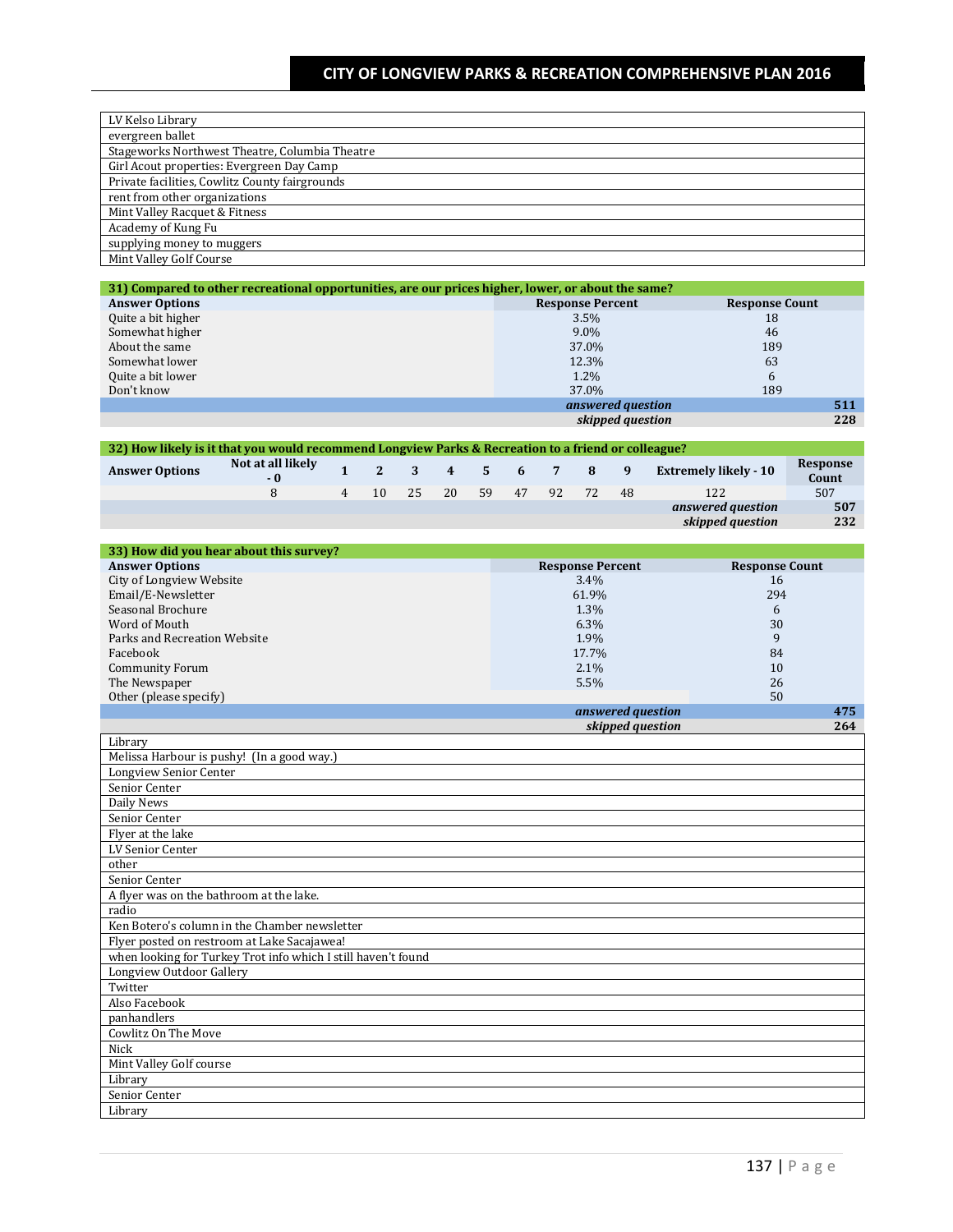| LV Kelso Library                               |
|------------------------------------------------|
| evergreen ballet                               |
| Stageworks Northwest Theatre, Columbia Theatre |
| Girl Acout properties: Evergreen Day Camp      |
| Private facilities, Cowlitz County fairgrounds |
| rent from other organizations                  |
| Mint Valley Racquet & Fitness                  |
| Academy of Kung Fu                             |
| supplying money to muggers                     |
| Mint Valley Golf Course                        |

| 31) Compared to other recreational opportunities, are our prices higher, lower, or about the same? |                         |                       |  |  |  |  |  |
|----------------------------------------------------------------------------------------------------|-------------------------|-----------------------|--|--|--|--|--|
| <b>Answer Options</b>                                                                              | <b>Response Percent</b> | <b>Response Count</b> |  |  |  |  |  |
| Quite a bit higher                                                                                 | $3.5\%$                 | 18                    |  |  |  |  |  |
| Somewhat higher                                                                                    | $9.0\%$                 | 46                    |  |  |  |  |  |
| About the same                                                                                     | 37.0%                   | 189                   |  |  |  |  |  |
| Somewhat lower                                                                                     | 12.3%                   | 63                    |  |  |  |  |  |
| Quite a bit lower                                                                                  | $1.2\%$                 | 6                     |  |  |  |  |  |
| Don't know                                                                                         | 37.0%                   | 189                   |  |  |  |  |  |
|                                                                                                    | answered question       | 511                   |  |  |  |  |  |
|                                                                                                    | skipped question        | 228                   |  |  |  |  |  |

| 32) How likely is it that you would recommend Longview Parks & Recreation to a friend or colleague? |                           |  |                                                                                   |  |  |  |  |  |                              |                   |
|-----------------------------------------------------------------------------------------------------|---------------------------|--|-----------------------------------------------------------------------------------|--|--|--|--|--|------------------------------|-------------------|
| <b>Answer Options</b>                                                                               | Not at all likely<br>$-0$ |  | $\begin{array}{cccccccccccccccccc} 1 & 2 & 3 & 4 & 5 & 6 & 7 & 8 & 9 \end{array}$ |  |  |  |  |  | <b>Extremely likely - 10</b> | Response<br>Count |
|                                                                                                     | 8                         |  | 4 10 25 20 59 47 92 72 48                                                         |  |  |  |  |  | 122                          | 507               |
|                                                                                                     |                           |  |                                                                                   |  |  |  |  |  | answered question            | 507               |
|                                                                                                     |                           |  |                                                                                   |  |  |  |  |  | skipped question             | 232               |
|                                                                                                     |                           |  |                                                                                   |  |  |  |  |  |                              |                   |

| 33) How did you hear about this survey? |                         |                       |
|-----------------------------------------|-------------------------|-----------------------|
| <b>Answer Options</b>                   | <b>Response Percent</b> | <b>Response Count</b> |
| City of Longview Website                | $3.4\%$                 | 16                    |
| Email/E-Newsletter                      | 61.9%                   | 294                   |
| Seasonal Brochure                       | 1.3%                    | 6                     |
| Word of Mouth                           | $6.3\%$                 | 30                    |
| Parks and Recreation Website            | 1.9%                    | 9                     |
| Facebook                                | 17.7%                   | 84                    |
| <b>Community Forum</b>                  | $2.1\%$                 | 10                    |
| The Newspaper                           | $5.5\%$                 | 26                    |
| Other (please specify)                  |                         | 50                    |
|                                         | answered question       | 475                   |

|                                                               | skipped question | 264 |
|---------------------------------------------------------------|------------------|-----|
| Library                                                       |                  |     |
| Melissa Harbour is pushy! (In a good way.)                    |                  |     |
| Longview Senior Center                                        |                  |     |
| Senior Center                                                 |                  |     |
| Daily News                                                    |                  |     |
| Senior Center                                                 |                  |     |
| Flyer at the lake                                             |                  |     |
| LV Senior Center                                              |                  |     |
| other                                                         |                  |     |
| Senior Center                                                 |                  |     |
| A flyer was on the bathroom at the lake.                      |                  |     |
| radio                                                         |                  |     |
| Ken Botero's column in the Chamber newsletter                 |                  |     |
| Flyer posted on restroom at Lake Sacajawea!                   |                  |     |
| when looking for Turkey Trot info which I still haven't found |                  |     |
| Longview Outdoor Gallery                                      |                  |     |
| Twitter                                                       |                  |     |
| Also Facebook                                                 |                  |     |
| panhandlers                                                   |                  |     |
| Cowlitz On The Move                                           |                  |     |
| Nick                                                          |                  |     |
| Mint Valley Golf course                                       |                  |     |
| Library                                                       |                  |     |
| Senior Center                                                 |                  |     |
| Library                                                       |                  |     |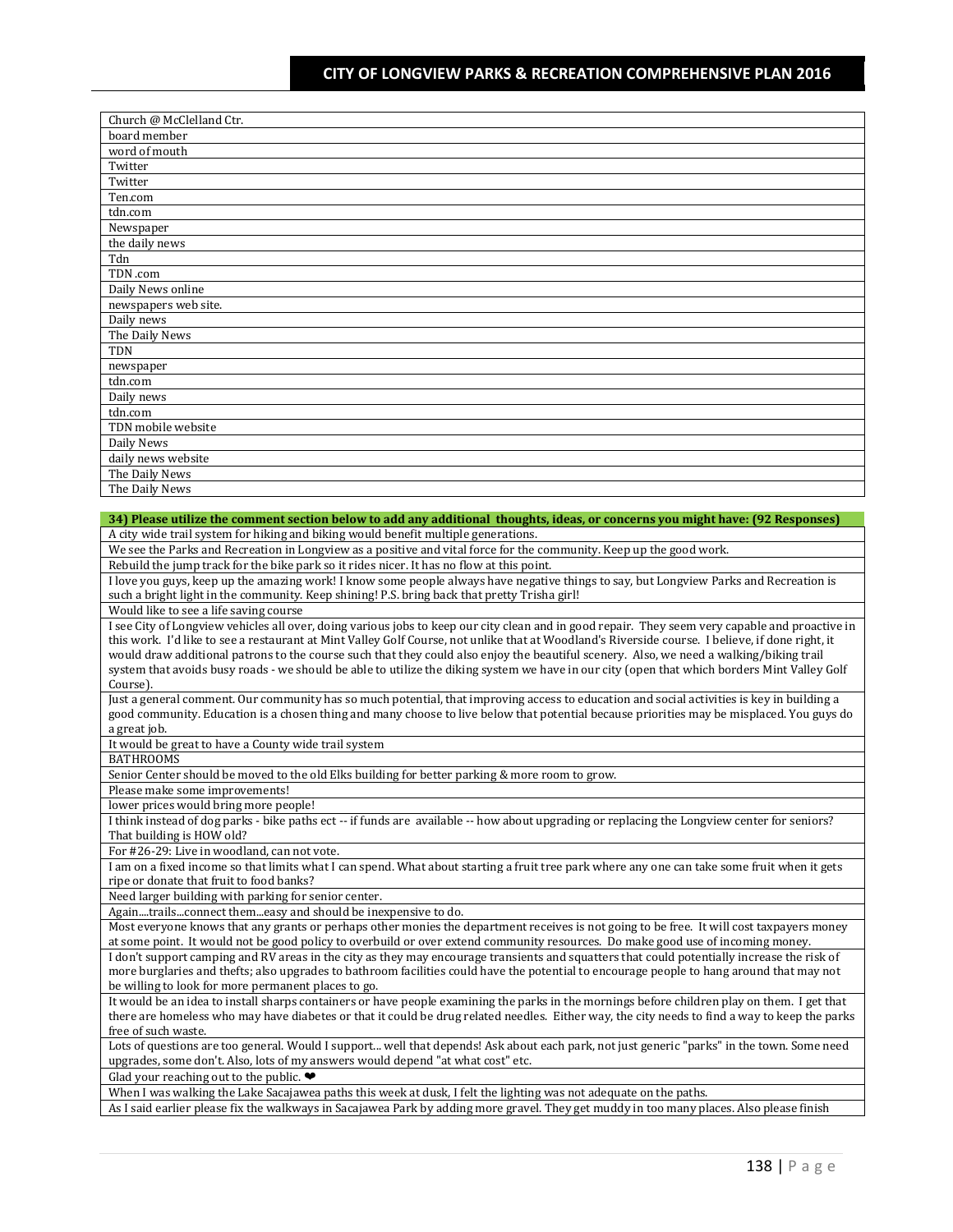| Church @ McClelland Ctr. |
|--------------------------|
| board member             |
| word of mouth            |
| Twitter                  |
| Twitter                  |
| Ten.com                  |
| tdn.com                  |
| Newspaper                |
| the daily news           |
| Tdn                      |
| TDN .com                 |
| Daily News online        |
| newspapers web site.     |
| Daily news               |
| The Daily News           |
| TDN                      |
| newspaper                |
| tdn.com                  |
| Daily news               |
| tdn.com                  |
| TDN mobile website       |
| Daily News               |
| daily news website       |
| The Daily News           |
| The Daily News           |

#### **34) Please utilize the comment section below to add any additional thoughts, ideas, or concerns you might have: (92 Responses)**

A city wide trail system for hiking and biking would benefit multiple generations.

We see the Parks and Recreation in Longview as a positive and vital force for the community. Keep up the good work.

Rebuild the jump track for the bike park so it rides nicer. It has no flow at this point.

I love you guys, keep up the amazing work! I know some people always have negative things to say, but Longview Parks and Recreation is such a bright light in the community. Keep shining! P.S. bring back that pretty Trisha girl!

Would like to see a life saving course

I see City of Longview vehicles all over, doing various jobs to keep our city clean and in good repair. They seem very capable and proactive in this work. I'd like to see a restaurant at Mint Valley Golf Course, not unlike that at Woodland's Riverside course. I believe, if done right, it would draw additional patrons to the course such that they could also enjoy the beautiful scenery. Also, we need a walking/biking trail system that avoids busy roads - we should be able to utilize the diking system we have in our city (open that which borders Mint Valley Golf Course).

Just a general comment. Our community has so much potential, that improving access to education and social activities is key in building a good community. Education is a chosen thing and many choose to live below that potential because priorities may be misplaced. You guys do a great job.

It would be great to have a County wide trail system

BATHROOMS

Senior Center should be moved to the old Elks building for better parking & more room to grow.

Please make some improvements!

lower prices would bring more people!

I think instead of dog parks - bike paths ect -- if funds are available -- how about upgrading or replacing the Longview center for seniors? That building is HOW old?

For #26-29: Live in woodland, can not vote.

I am on a fixed income so that limits what I can spend. What about starting a fruit tree park where any one can take some fruit when it gets ripe or donate that fruit to food banks?

Need larger building with parking for senior center.

Again....trails...connect them...easy and should be inexpensive to do.

Most everyone knows that any grants or perhaps other monies the department receives is not going to be free. It will cost taxpayers money at some point. It would not be good policy to overbuild or over extend community resources. Do make good use of incoming money. I don't support camping and RV areas in the city as they may encourage transients and squatters that could potentially increase the risk of more burglaries and thefts; also upgrades to bathroom facilities could have the potential to encourage people to hang around that may not be willing to look for more permanent places to go.

It would be an idea to install sharps containers or have people examining the parks in the mornings before children play on them. I get that there are homeless who may have diabetes or that it could be drug related needles. Either way, the city needs to find a way to keep the parks free of such waste.

Lots of questions are too general. Would I support... well that depends! Ask about each park, not just generic "parks" in the town. Some need upgrades, some don't. Also, lots of my answers would depend "at what cost" etc.

Glad your reaching out to the public.  $\bullet$ 

When I was walking the Lake Sacajawea paths this week at dusk, I felt the lighting was not adequate on the paths.

As I said earlier please fix the walkways in Sacajawea Park by adding more gravel. They get muddy in too many places. Also please finish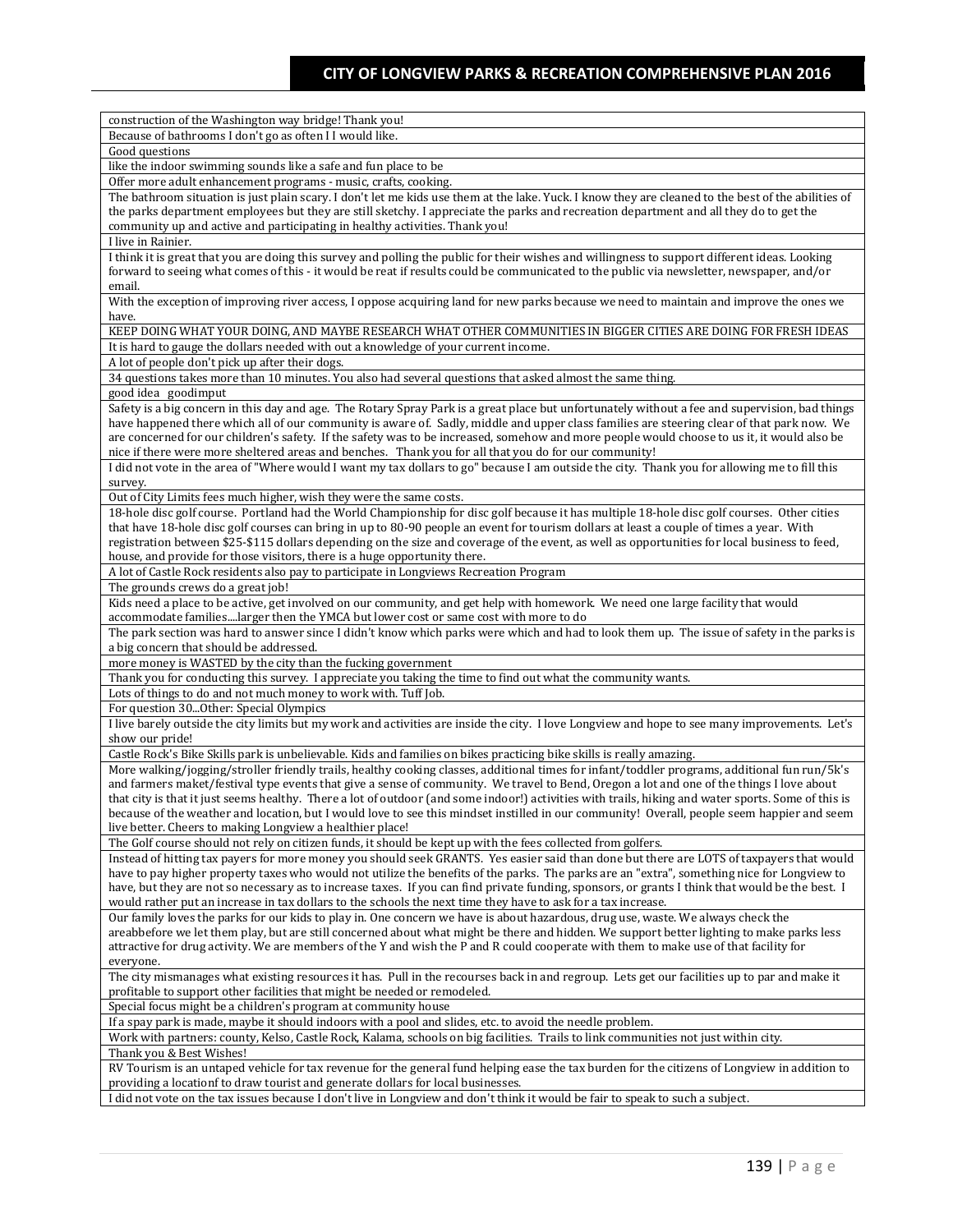| construction of the Washington way bridge! Thank you!                                                                                                                                                                                                                                      |
|--------------------------------------------------------------------------------------------------------------------------------------------------------------------------------------------------------------------------------------------------------------------------------------------|
| Because of bathrooms I don't go as often I I would like.                                                                                                                                                                                                                                   |
| Good questions                                                                                                                                                                                                                                                                             |
| like the indoor swimming sounds like a safe and fun place to be                                                                                                                                                                                                                            |
| Offer more adult enhancement programs - music, crafts, cooking.                                                                                                                                                                                                                            |
| The bathroom situation is just plain scary. I don't let me kids use them at the lake. Yuck. I know they are cleaned to the best of the abilities of                                                                                                                                        |
| the parks department employees but they are still sketchy. I appreciate the parks and recreation department and all they do to get the                                                                                                                                                     |
| community up and active and participating in healthy activities. Thank you!                                                                                                                                                                                                                |
| I live in Rainier.                                                                                                                                                                                                                                                                         |
| I think it is great that you are doing this survey and polling the public for their wishes and willingness to support different ideas. Looking<br>forward to seeing what comes of this - it would be reat if results could be communicated to the public via newsletter, newspaper, and/or |
| email.                                                                                                                                                                                                                                                                                     |
| With the exception of improving river access, I oppose acquiring land for new parks because we need to maintain and improve the ones we                                                                                                                                                    |
| have.                                                                                                                                                                                                                                                                                      |
| KEEP DOING WHAT YOUR DOING, AND MAYBE RESEARCH WHAT OTHER COMMUNITIES IN BIGGER CITIES ARE DOING FOR FRESH IDEAS                                                                                                                                                                           |
| It is hard to gauge the dollars needed with out a knowledge of your current income.                                                                                                                                                                                                        |
| A lot of people don't pick up after their dogs.                                                                                                                                                                                                                                            |
| 34 questions takes more than 10 minutes. You also had several questions that asked almost the same thing.                                                                                                                                                                                  |
| good idea goodimput                                                                                                                                                                                                                                                                        |
| Safety is a big concern in this day and age. The Rotary Spray Park is a great place but unfortunately without a fee and supervision, bad things                                                                                                                                            |
| have happened there which all of our community is aware of. Sadly, middle and upper class families are steering clear of that park now. We                                                                                                                                                 |
| are concerned for our children's safety. If the safety was to be increased, somehow and more people would choose to us it, it would also be                                                                                                                                                |
| nice if there were more sheltered areas and benches. Thank you for all that you do for our community!                                                                                                                                                                                      |
| I did not vote in the area of "Where would I want my tax dollars to go" because I am outside the city. Thank you for allowing me to fill this                                                                                                                                              |
| survey.<br>Out of City Limits fees much higher, wish they were the same costs.                                                                                                                                                                                                             |
| 18-hole disc golf course. Portland had the World Championship for disc golf because it has multiple 18-hole disc golf courses. Other cities                                                                                                                                                |
| that have 18-hole disc golf courses can bring in up to 80-90 people an event for tourism dollars at least a couple of times a year. With                                                                                                                                                   |
| registration between \$25-\$115 dollars depending on the size and coverage of the event, as well as opportunities for local business to feed,                                                                                                                                              |
| house, and provide for those visitors, there is a huge opportunity there.                                                                                                                                                                                                                  |
| A lot of Castle Rock residents also pay to participate in Longviews Recreation Program                                                                                                                                                                                                     |
| The grounds crews do a great job!                                                                                                                                                                                                                                                          |
| Kids need a place to be active, get involved on our community, and get help with homework. We need one large facility that would                                                                                                                                                           |
| accommodate familieslarger then the YMCA but lower cost or same cost with more to do                                                                                                                                                                                                       |
| The park section was hard to answer since I didn't know which parks were which and had to look them up. The issue of safety in the parks is                                                                                                                                                |
| a big concern that should be addressed.                                                                                                                                                                                                                                                    |
| more money is WASTED by the city than the fucking government<br>Thank you for conducting this survey. I appreciate you taking the time to find out what the community wants.                                                                                                               |
| Lots of things to do and not much money to work with. Tuff Job.                                                                                                                                                                                                                            |
| For question 30Other: Special Olympics                                                                                                                                                                                                                                                     |
| I live barely outside the city limits but my work and activities are inside the city. I love Longview and hope to see many improvements. Let's                                                                                                                                             |
| show our pride!                                                                                                                                                                                                                                                                            |
| Castle Rock's Bike Skills park is unbelievable. Kids and families on bikes practicing bike skills is really amazing.                                                                                                                                                                       |
| More walking/jogging/stroller friendly trails, healthy cooking classes, additional times for infant/toddler programs, additional fun run/5k's                                                                                                                                              |
| and farmers maket/festival type events that give a sense of community. We travel to Bend, Oregon a lot and one of the things I love about                                                                                                                                                  |
| that city is that it just seems healthy. There a lot of outdoor (and some indoor!) activities with trails, hiking and water sports. Some of this is                                                                                                                                        |
| because of the weather and location, but I would love to see this mindset instilled in our community! Overall, people seem happier and seem                                                                                                                                                |
| live better. Cheers to making Longview a healthier place!                                                                                                                                                                                                                                  |
| The Golf course should not rely on citizen funds, it should be kept up with the fees collected from golfers.                                                                                                                                                                               |
| Instead of hitting tax payers for more money you should seek GRANTS. Yes easier said than done but there are LOTS of taxpayers that would<br>have to pay higher property taxes who would not utilize the benefits of the parks. The parks are an "extra", something nice for Longview to   |
| have, but they are not so necessary as to increase taxes. If you can find private funding, sponsors, or grants I think that would be the best. I                                                                                                                                           |
| would rather put an increase in tax dollars to the schools the next time they have to ask for a tax increase.                                                                                                                                                                              |
| Our family loves the parks for our kids to play in. One concern we have is about hazardous, drug use, waste. We always check the                                                                                                                                                           |
| areabbefore we let them play, but are still concerned about what might be there and hidden. We support better lighting to make parks less                                                                                                                                                  |
| attractive for drug activity. We are members of the Y and wish the P and R could cooperate with them to make use of that facility for                                                                                                                                                      |
| everyone.                                                                                                                                                                                                                                                                                  |
| The city mismanages what existing resources it has. Pull in the recourses back in and regroup. Lets get our facilities up to par and make it                                                                                                                                               |
| profitable to support other facilities that might be needed or remodeled.                                                                                                                                                                                                                  |
| Special focus might be a children's program at community house                                                                                                                                                                                                                             |
| If a spay park is made, maybe it should indoors with a pool and slides, etc. to avoid the needle problem.                                                                                                                                                                                  |
| Work with partners: county, Kelso, Castle Rock, Kalama, schools on big facilities. Trails to link communities not just within city.                                                                                                                                                        |
| Thank you & Best Wishes!                                                                                                                                                                                                                                                                   |
| RV Tourism is an untaped vehicle for tax revenue for the general fund helping ease the tax burden for the citizens of Longview in addition to<br>providing a locationf to draw tourist and generate dollars for local businesses.                                                          |
| did not vote on the tax issues because I don't live in Longview and don't think it would be fair to speak to such a subject.                                                                                                                                                               |
|                                                                                                                                                                                                                                                                                            |